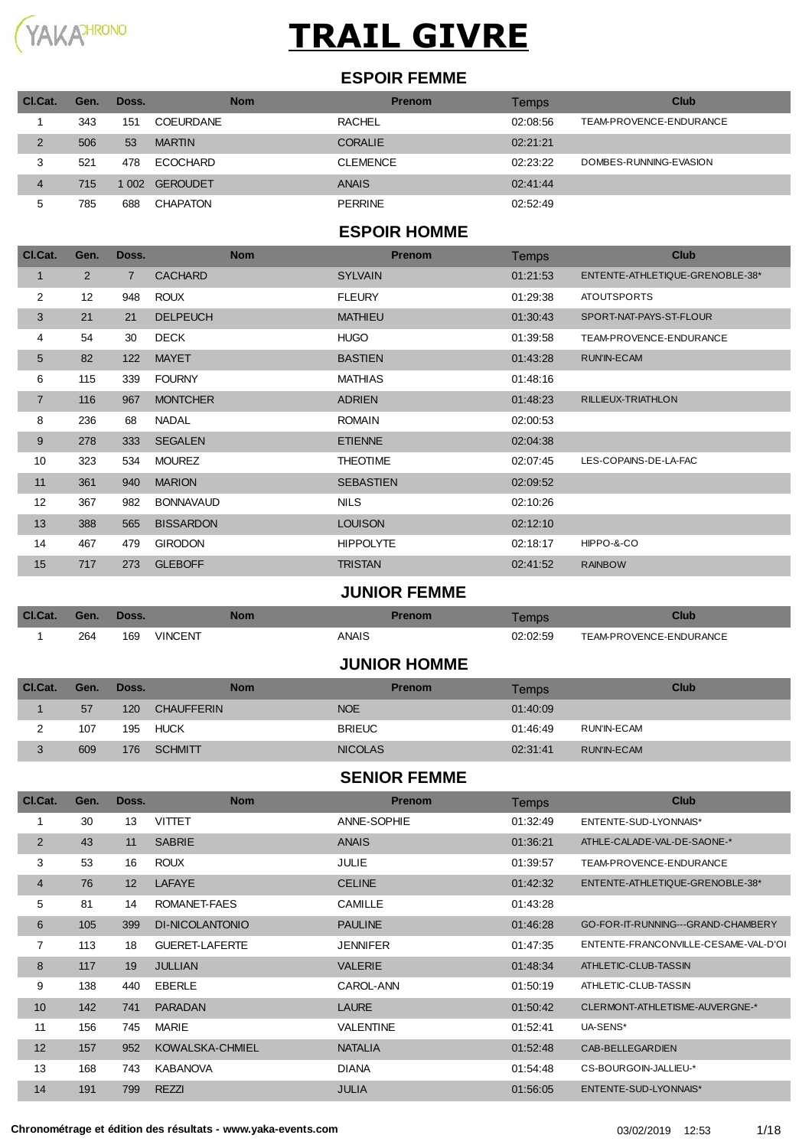

#### **ESPOIR FEMME**

| CI.Cat. | Gen. | Doss. | Nom             | <b>Prenom</b>   | Temps    | <b>Club</b>             |
|---------|------|-------|-----------------|-----------------|----------|-------------------------|
|         | 343  | 151   | COEURDANE       | <b>RACHEL</b>   | 02:08:56 | TEAM-PROVENCE-ENDURANCE |
| 2       | 506  | 53    | <b>MARTIN</b>   | <b>CORALIE</b>  | 02:21:21 |                         |
| 3       | 521  | 478   | <b>ECOCHARD</b> | <b>CLEMENCE</b> | 02:23:22 | DOMBES-RUNNING-EVASION  |
| 4       | 715  | 1002  | <b>GEROUDET</b> | <b>ANAIS</b>    | 02:41:44 |                         |
| 5       | 785  | 688   | CHAPATON        | <b>PERRINE</b>  | 02:52:49 |                         |

#### **ESPOIR HOMME**

| Cl.Cat.        | Gen.           | Doss.          | <b>Nom</b>       | <b>Prenom</b>    | <b>Temps</b> | <b>Club</b>                     |
|----------------|----------------|----------------|------------------|------------------|--------------|---------------------------------|
| 1              | $\overline{2}$ | $\overline{7}$ | <b>CACHARD</b>   | <b>SYLVAIN</b>   | 01:21:53     | ENTENTE-ATHLETIQUE-GRENOBLE-38* |
| 2              | 12             | 948            | <b>ROUX</b>      | <b>FLEURY</b>    | 01:29:38     | <b>ATOUTSPORTS</b>              |
| 3              | 21             | 21             | <b>DELPEUCH</b>  | <b>MATHIEU</b>   | 01:30:43     | SPORT-NAT-PAYS-ST-FLOUR         |
| 4              | 54             | 30             | <b>DECK</b>      | <b>HUGO</b>      | 01:39:58     | TEAM-PROVENCE-ENDURANCE         |
| 5              | 82             | 122            | <b>MAYET</b>     | <b>BASTIEN</b>   | 01:43:28     | RUN'IN-ECAM                     |
| 6              | 115            | 339            | <b>FOURNY</b>    | <b>MATHIAS</b>   | 01:48:16     |                                 |
| $\overline{7}$ | 116            | 967            | <b>MONTCHER</b>  | <b>ADRIEN</b>    | 01:48:23     | RILLIEUX-TRIATHLON              |
| 8              | 236            | 68             | <b>NADAL</b>     | <b>ROMAIN</b>    | 02:00:53     |                                 |
| 9              | 278            | 333            | <b>SEGALEN</b>   | <b>ETIENNE</b>   | 02:04:38     |                                 |
| 10             | 323            | 534            | <b>MOUREZ</b>    | <b>THEOTIME</b>  | 02:07:45     | LES-COPAINS-DE-LA-FAC           |
| 11             | 361            | 940            | <b>MARION</b>    | <b>SEBASTIEN</b> | 02:09:52     |                                 |
| 12             | 367            | 982            | <b>BONNAVAUD</b> | <b>NILS</b>      | 02:10:26     |                                 |
| 13             | 388            | 565            | <b>BISSARDON</b> | <b>LOUISON</b>   | 02:12:10     |                                 |
| 14             | 467            | 479            | <b>GIRODON</b>   | <b>HIPPOLYTE</b> | 02:18:17     | HIPPO-&-CO                      |
| 15             | 717            | 273            | <b>GLEBOFF</b>   | <b>TRISTAN</b>   | 02:41:52     | <b>RAINBOW</b>                  |

#### **JUNIOR FEMME**

| Cl.Cat. | Gen. | Doss. | <b>Nom</b>     | Prenom | Temps    | <b>Club</b>             |
|---------|------|-------|----------------|--------|----------|-------------------------|
|         | 264  | 169   | <b>VINCENT</b> | ANAIS  | 02:02:59 | TEAM-PROVENCE-ENDURANCE |
|         |      |       |                |        |          |                         |

#### **JUNIOR HOMME**

| CI.Cat. | Gen. | Doss. | <b>Nom</b>        | <b>Prenom</b>  | Temps    | Club        |
|---------|------|-------|-------------------|----------------|----------|-------------|
|         | 57   | 120   | <b>CHAUFFERIN</b> | <b>NOE</b>     | 01:40:09 |             |
|         | 107  | 195   | HUCK              | <b>BRIEUC</b>  | 01:46:49 | RUN'IN-ECAM |
|         | 609  | 176   | <b>SCHMITT</b>    | <b>NICOLAS</b> | 02:31:41 | RUN'IN-ECAM |

#### **SENIOR FEMME**

| CI.Cat.        | Gen. | Doss. | <b>Nom</b>             | <b>Prenom</b>    | <b>Temps</b> | <b>Club</b>                          |
|----------------|------|-------|------------------------|------------------|--------------|--------------------------------------|
|                | 30   | 13    | <b>VITTET</b>          | ANNE-SOPHIE      | 01:32:49     | ENTENTE-SUD-LYONNAIS*                |
| 2              | 43   | 11    | <b>SABRIE</b>          | <b>ANAIS</b>     | 01:36:21     | ATHLE-CALADE-VAL-DE-SAONE-*          |
| 3              | 53   | 16    | <b>ROUX</b>            | <b>JULIE</b>     | 01:39:57     | TEAM-PROVENCE-ENDURANCE              |
| $\overline{4}$ | 76   | 12    | <b>LAFAYE</b>          | <b>CELINE</b>    | 01:42:32     | ENTENTE-ATHLETIQUE-GRENOBLE-38*      |
| 5              | 81   | 14    | ROMANET-FAES           | <b>CAMILLE</b>   | 01:43:28     |                                      |
| 6              | 105  | 399   | <b>DI-NICOLANTONIO</b> | <b>PAULINE</b>   | 01:46:28     | GO-FOR-IT-RUNNING---GRAND-CHAMBERY   |
| 7              | 113  | 18    | <b>GUERET-LAFERTE</b>  | <b>JENNIFER</b>  | 01:47:35     | ENTENTE-FRANCONVILLE-CESAME-VAL-D'OI |
| 8              | 117  | 19    | <b>JULLIAN</b>         | <b>VALERIE</b>   | 01:48:34     | ATHLETIC-CLUB-TASSIN                 |
| 9              | 138  | 440   | <b>EBERLE</b>          | CAROL-ANN        | 01:50:19     | ATHLETIC-CLUB-TASSIN                 |
| 10             | 142  | 741   | <b>PARADAN</b>         | <b>LAURE</b>     | 01:50:42     | CLERMONT-ATHLETISME-AUVERGNE-*       |
| 11             | 156  | 745   | <b>MARIE</b>           | <b>VALENTINE</b> | 01:52:41     | UA-SENS*                             |
| 12             | 157  | 952   | KOWALSKA-CHMIEL        | <b>NATALIA</b>   | 01:52:48     | CAB-BELLEGARDIEN                     |
| 13             | 168  | 743   | <b>KABANOVA</b>        | <b>DIANA</b>     | 01:54:48     | CS-BOURGOIN-JALLIEU-*                |
| 14             | 191  | 799   | <b>REZZI</b>           | <b>JULIA</b>     | 01:56:05     | ENTENTE-SUD-LYONNAIS*                |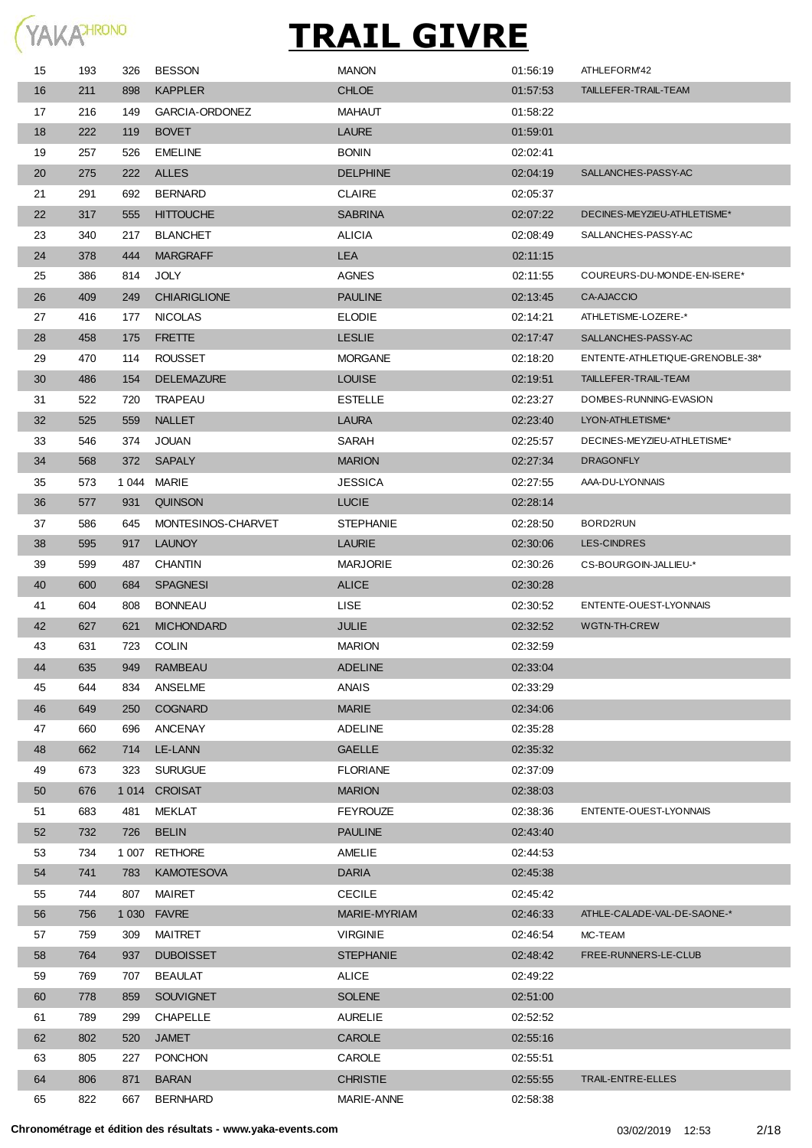

| 15 | 193 | 326   | <b>BESSON</b>         | <b>MANON</b>     | 01:56:19 | ATHLEFORM42                     |
|----|-----|-------|-----------------------|------------------|----------|---------------------------------|
| 16 | 211 | 898   | <b>KAPPLER</b>        | <b>CHLOE</b>     | 01:57:53 | TAILLEFER-TRAIL-TEAM            |
| 17 | 216 | 149   | <b>GARCIA-ORDONEZ</b> | MAHAUT           | 01:58:22 |                                 |
| 18 | 222 | 119   | <b>BOVET</b>          | <b>LAURE</b>     | 01:59:01 |                                 |
| 19 | 257 | 526   | <b>EMELINE</b>        | <b>BONIN</b>     | 02:02:41 |                                 |
| 20 | 275 | 222   | <b>ALLES</b>          | <b>DELPHINE</b>  | 02:04:19 | SALLANCHES-PASSY-AC             |
| 21 | 291 | 692   | <b>BERNARD</b>        | <b>CLAIRE</b>    | 02:05:37 |                                 |
| 22 | 317 | 555   | <b>HITTOUCHE</b>      | <b>SABRINA</b>   | 02:07:22 | DECINES-MEYZIEU-ATHLETISME*     |
| 23 | 340 | 217   | <b>BLANCHET</b>       | <b>ALICIA</b>    | 02:08:49 | SALLANCHES-PASSY-AC             |
| 24 | 378 | 444   | <b>MARGRAFF</b>       | <b>LEA</b>       | 02:11:15 |                                 |
| 25 | 386 | 814   | <b>JOLY</b>           | <b>AGNES</b>     | 02:11:55 | COUREURS-DU-MONDE-EN-ISERE*     |
| 26 | 409 | 249   | <b>CHIARIGLIONE</b>   | <b>PAULINE</b>   | 02:13:45 | CA-AJACCIO                      |
| 27 | 416 | 177   | <b>NICOLAS</b>        | <b>ELODIE</b>    | 02:14:21 | ATHLETISME-LOZERE-*             |
| 28 | 458 | 175   | <b>FRETTE</b>         | <b>LESLIE</b>    | 02:17:47 | SALLANCHES-PASSY-AC             |
| 29 | 470 | 114   | <b>ROUSSET</b>        | <b>MORGANE</b>   | 02:18:20 | ENTENTE-ATHLETIQUE-GRENOBLE-38* |
| 30 | 486 | 154   | <b>DELEMAZURE</b>     | <b>LOUISE</b>    | 02:19:51 | TAILLEFER-TRAIL-TEAM            |
| 31 | 522 | 720   | TRAPEAU               | ESTELLE          | 02:23:27 | DOMBES-RUNNING-EVASION          |
| 32 | 525 | 559   | <b>NALLET</b>         | <b>LAURA</b>     | 02:23:40 | LYON-ATHLETISME*                |
| 33 | 546 | 374   | JOUAN                 | SARAH            | 02:25:57 | DECINES-MEYZIEU-ATHLETISME*     |
| 34 | 568 | 372   | <b>SAPALY</b>         | <b>MARION</b>    | 02:27:34 | <b>DRAGONFLY</b>                |
| 35 | 573 | 1 044 | MARIE                 | <b>JESSICA</b>   | 02:27:55 | AAA-DU-LYONNAIS                 |
| 36 | 577 | 931   | <b>QUINSON</b>        | <b>LUCIE</b>     | 02:28:14 |                                 |
| 37 | 586 | 645   | MONTESINOS-CHARVET    | <b>STEPHANIE</b> | 02:28:50 | BORD2RUN                        |
| 38 | 595 | 917   | <b>LAUNOY</b>         | <b>LAURIE</b>    | 02:30:06 | <b>LES-CINDRES</b>              |
| 39 | 599 | 487   | <b>CHANTIN</b>        | <b>MARJORIE</b>  | 02:30:26 | CS-BOURGOIN-JALLIEU-*           |
| 40 | 600 | 684   | <b>SPAGNESI</b>       | <b>ALICE</b>     | 02:30:28 |                                 |
| 41 | 604 | 808   | <b>BONNEAU</b>        | <b>LISE</b>      | 02:30:52 | ENTENTE-OUEST-LYONNAIS          |
| 42 | 627 | 621   | <b>MICHONDARD</b>     | <b>JULIE</b>     | 02:32:52 | WGTN-TH-CREW                    |
| 43 | 631 | 723   | <b>COLIN</b>          | <b>MARION</b>    | 02:32:59 |                                 |
| 44 | 635 | 949   | <b>RAMBEAU</b>        | <b>ADELINE</b>   | 02:33:04 |                                 |
| 45 | 644 | 834   | ANSELME               | ANAIS            | 02:33:29 |                                 |
| 46 | 649 | 250   | <b>COGNARD</b>        | <b>MARIE</b>     | 02:34:06 |                                 |
| 47 | 660 | 696   | ANCENAY               | <b>ADELINE</b>   | 02:35:28 |                                 |
| 48 | 662 | 714   | LE-LANN               | <b>GAELLE</b>    | 02:35:32 |                                 |
| 49 | 673 | 323   | <b>SURUGUE</b>        | <b>FLORIANE</b>  | 02:37:09 |                                 |
| 50 | 676 |       | 1014 CROISAT          | <b>MARION</b>    | 02:38:03 |                                 |
| 51 | 683 | 481   | MEKLAT                | <b>FEYROUZE</b>  | 02:38:36 | ENTENTE-OUEST-LYONNAIS          |
| 52 | 732 | 726   | <b>BELIN</b>          | <b>PAULINE</b>   | 02:43:40 |                                 |
| 53 | 734 |       | 1 007 RETHORE         | AMELIE           | 02:44:53 |                                 |
| 54 | 741 | 783   | <b>KAMOTESOVA</b>     | <b>DARIA</b>     | 02:45:38 |                                 |
| 55 | 744 | 807   | MAIRET                | <b>CECILE</b>    | 02:45:42 |                                 |
| 56 | 756 |       | 1 030 FAVRE           | MARIE-MYRIAM     | 02:46:33 | ATHLE-CALADE-VAL-DE-SAONE-*     |
| 57 | 759 | 309   | MAITRET               | <b>VIRGINIE</b>  | 02:46:54 | MC-TEAM                         |
| 58 | 764 | 937   | <b>DUBOISSET</b>      | <b>STEPHANIE</b> | 02:48:42 | FREE-RUNNERS-LE-CLUB            |
| 59 | 769 | 707   | <b>BEAULAT</b>        | <b>ALICE</b>     | 02:49:22 |                                 |
| 60 | 778 | 859   | SOUVIGNET             | <b>SOLENE</b>    | 02:51:00 |                                 |
| 61 | 789 | 299   | <b>CHAPELLE</b>       | <b>AURELIE</b>   | 02:52:52 |                                 |
| 62 | 802 | 520   | <b>JAMET</b>          | <b>CAROLE</b>    | 02:55:16 |                                 |
| 63 | 805 | 227   | <b>PONCHON</b>        | CAROLE           | 02:55:51 |                                 |
| 64 | 806 | 871   | <b>BARAN</b>          | <b>CHRISTIE</b>  | 02:55:55 | TRAIL-ENTRE-ELLES               |
| 65 | 822 | 667   | <b>BERNHARD</b>       | MARIE-ANNE       | 02:58:38 |                                 |
|    |     |       |                       |                  |          |                                 |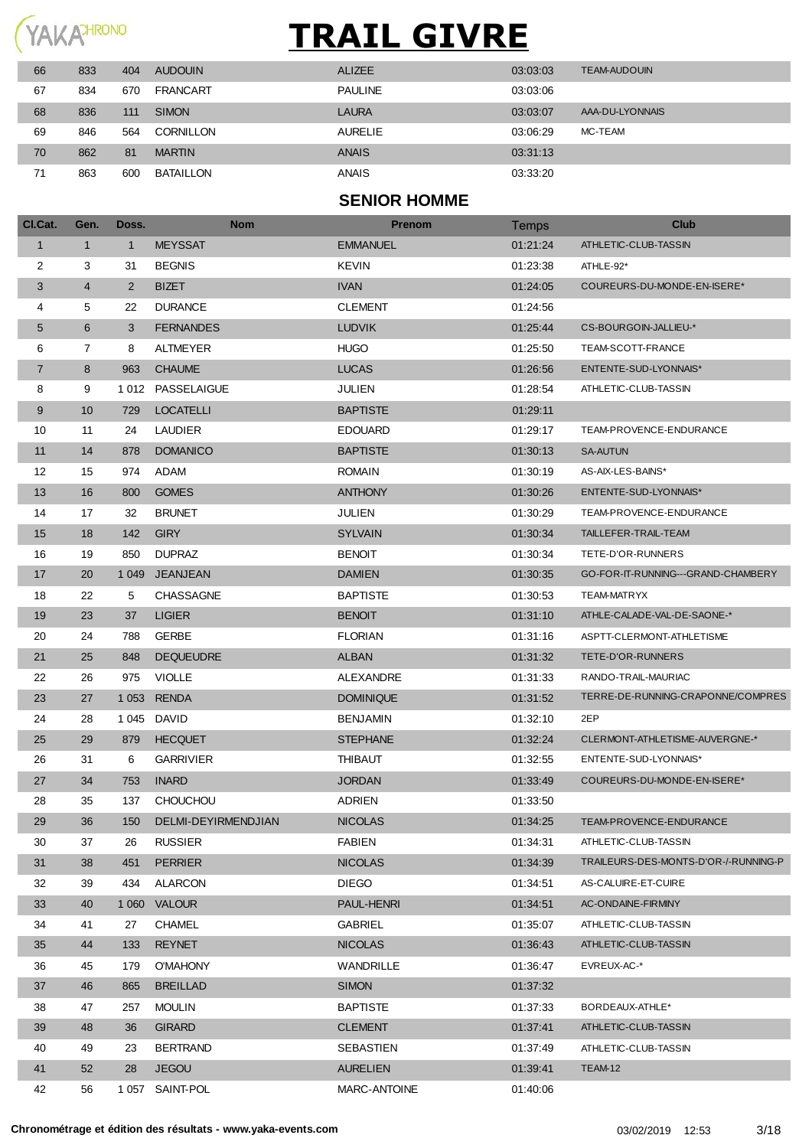

| 66 | 833 | 404 | <b>AUDOUIN</b>  | <b>ALIZEE</b>  | 03:03:03 | <b>TEAM-AUDOUIN</b> |
|----|-----|-----|-----------------|----------------|----------|---------------------|
| 67 | 834 | 670 | <b>FRANCART</b> | <b>PAULINE</b> | 03:03:06 |                     |
| 68 | 836 | 111 | <b>SIMON</b>    | <b>LAURA</b>   | 03:03:07 | AAA-DU-LYONNAIS     |
| 69 | 846 | 564 | CORNILLON       | <b>AURELIE</b> | 03:06:29 | MC-TEAM             |
| 70 | 862 | 81  | <b>MARTIN</b>   | <b>ANAIS</b>   | 03:31:13 |                     |
| 71 | 863 | 600 | BATAILLON       | <b>ANAIS</b>   | 03:33:20 |                     |

#### **SENIOR HOMME**

| CI.Cat.        | Gen.           | Doss.        | <b>Nom</b>          | <b>Prenom</b>       | Temps    | <b>Club</b>                          |
|----------------|----------------|--------------|---------------------|---------------------|----------|--------------------------------------|
| $\mathbf{1}$   | $\mathbf{1}$   | $\mathbf{1}$ | <b>MEYSSAT</b>      | <b>EMMANUEL</b>     | 01:21:24 | ATHLETIC-CLUB-TASSIN                 |
| 2              | 3              | 31           | <b>BEGNIS</b>       | KEVIN               | 01:23:38 | ATHLE-92*                            |
| 3              | $\overline{4}$ | 2            | <b>BIZET</b>        | <b>IVAN</b>         | 01:24:05 | COUREURS-DU-MONDE-EN-ISERE*          |
| 4              | 5              | 22           | <b>DURANCE</b>      | <b>CLEMENT</b>      | 01:24:56 |                                      |
| 5              | 6              | 3            | <b>FERNANDES</b>    | <b>LUDVIK</b>       | 01:25:44 | CS-BOURGOIN-JALLIEU-*                |
| 6              | 7              | 8            | <b>ALTMEYER</b>     | <b>HUGO</b>         | 01:25:50 | TEAM-SCOTT-FRANCE                    |
| $\overline{7}$ | 8              | 963          | <b>CHAUME</b>       | <b>LUCAS</b>        | 01:26:56 | ENTENTE-SUD-LYONNAIS*                |
| 8              | 9              | 1 0 1 2      | PASSELAIGUE         | <b>JULIEN</b>       | 01:28:54 | ATHLETIC-CLUB-TASSIN                 |
| 9              | 10             | 729          | <b>LOCATELLI</b>    | <b>BAPTISTE</b>     | 01:29:11 |                                      |
| 10             | 11             | 24           | <b>LAUDIER</b>      | <b>EDOUARD</b>      | 01:29:17 | TEAM-PROVENCE-ENDURANCE              |
| 11             | 14             | 878          | <b>DOMANICO</b>     | <b>BAPTISTE</b>     | 01:30:13 | <b>SA-AUTUN</b>                      |
| 12             | 15             | 974          | ADAM                | <b>ROMAIN</b>       | 01:30:19 | AS-AIX-LES-BAINS*                    |
| 13             | 16             | 800          | <b>GOMES</b>        | <b>ANTHONY</b>      | 01:30:26 | ENTENTE-SUD-LYONNAIS*                |
| 14             | 17             | 32           | <b>BRUNET</b>       | JULIEN              | 01:30:29 | TEAM-PROVENCE-ENDURANCE              |
| 15             | 18             | 142          | <b>GIRY</b>         | <b>SYLVAIN</b>      | 01:30:34 | TAILLEFER-TRAIL-TEAM                 |
| 16             | 19             | 850          | <b>DUPRAZ</b>       | <b>BENOIT</b>       | 01:30:34 | TETE-D'OR-RUNNERS                    |
| 17             | 20             | 1 0 4 9      | <b>JEANJEAN</b>     | <b>DAMIEN</b>       | 01:30:35 | GO-FOR-IT-RUNNING---GRAND-CHAMBERY   |
| 18             | 22             | 5            | <b>CHASSAGNE</b>    | <b>BAPTISTE</b>     | 01:30:53 | TEAM-MATRYX                          |
| 19             | 23             | 37           | <b>LIGIER</b>       | <b>BENOIT</b>       | 01:31:10 | ATHLE-CALADE-VAL-DE-SAONE-*          |
| 20             | 24             | 788          | <b>GERBE</b>        | <b>FLORIAN</b>      | 01:31:16 | ASPTT-CLERMONT-ATHLETISME            |
| 21             | 25             | 848          | <b>DEQUEUDRE</b>    | <b>ALBAN</b>        | 01:31:32 | TETE-D'OR-RUNNERS                    |
| 22             | 26             | 975          | <b>VIOLLE</b>       | ALEXANDRE           | 01:31:33 | RANDO-TRAIL-MAURIAC                  |
| 23             | 27             | 1 0 5 3      | <b>RENDA</b>        | <b>DOMINIQUE</b>    | 01:31:52 | TERRE-DE-RUNNING-CRAPONNE/COMPRES    |
| 24             | 28             | 1 0 4 5      | <b>DAVID</b>        | <b>BENJAMIN</b>     | 01:32:10 | 2EP                                  |
| 25             | 29             | 879          | <b>HECQUET</b>      | <b>STEPHANE</b>     | 01:32:24 | CLERMONT-ATHLETISME-AUVERGNE-*       |
| 26             | 31             | 6            | <b>GARRIVIER</b>    | <b>THIBAUT</b>      | 01:32:55 | ENTENTE-SUD-LYONNAIS*                |
| 27             | 34             | 753          | <b>INARD</b>        | <b>JORDAN</b>       | 01:33:49 | COUREURS-DU-MONDE-EN-ISERE*          |
| 28             | 35             | 137          | <b>CHOUCHOU</b>     | <b>ADRIEN</b>       | 01:33:50 |                                      |
| 29             | 36             | 150          | DELMI-DEYIRMENDJIAN | <b>NICOLAS</b>      | 01:34:25 | TEAM-PROVENCE-ENDURANCE              |
| 30             | 37             | 26           | <b>RUSSIER</b>      | <b>FABIEN</b>       | 01:34:31 | ATHLETIC-CLUB-TASSIN                 |
| 31             | 38             | 451          | <b>PERRIER</b>      | <b>NICOLAS</b>      | 01:34:39 | TRAILEURS-DES-MONTS-D'OR-/-RUNNING-P |
| 32             | 39             | 434          | ALARCON             | <b>DIEGO</b>        | 01:34:51 | AS-CALUIRE-ET-CUIRE                  |
| 33             | 40             |              | 1 060 VALOUR        | PAUL-HENRI          | 01:34:51 | AC-ONDAINE-FIRMINY                   |
| 34             | 41             | 27           | <b>CHAMEL</b>       | <b>GABRIEL</b>      | 01:35:07 | ATHLETIC-CLUB-TASSIN                 |
| 35             | 44             | 133          | <b>REYNET</b>       | <b>NICOLAS</b>      | 01:36:43 | ATHLETIC-CLUB-TASSIN                 |
| 36             | 45             | 179          | <b>O'MAHONY</b>     | WANDRILLE           | 01:36:47 | EVREUX-AC-*                          |
| 37             | 46             | 865          | <b>BREILLAD</b>     | <b>SIMON</b>        | 01:37:32 |                                      |
| 38             | 47             | 257          | <b>MOULIN</b>       | <b>BAPTISTE</b>     | 01:37:33 | BORDEAUX-ATHLE*                      |
| 39             | 48             | 36           | <b>GIRARD</b>       | <b>CLEMENT</b>      | 01:37:41 | ATHLETIC-CLUB-TASSIN                 |
| 40             | 49             | 23           | <b>BERTRAND</b>     | SEBASTIEN           | 01:37:49 | ATHLETIC-CLUB-TASSIN                 |
| 41             | 52             | 28           | <b>JEGOU</b>        | <b>AURELIEN</b>     | 01:39:41 | TEAM-12                              |
| 42             | 56             |              | 1 057 SAINT-POL     | <b>MARC-ANTOINE</b> | 01:40:06 |                                      |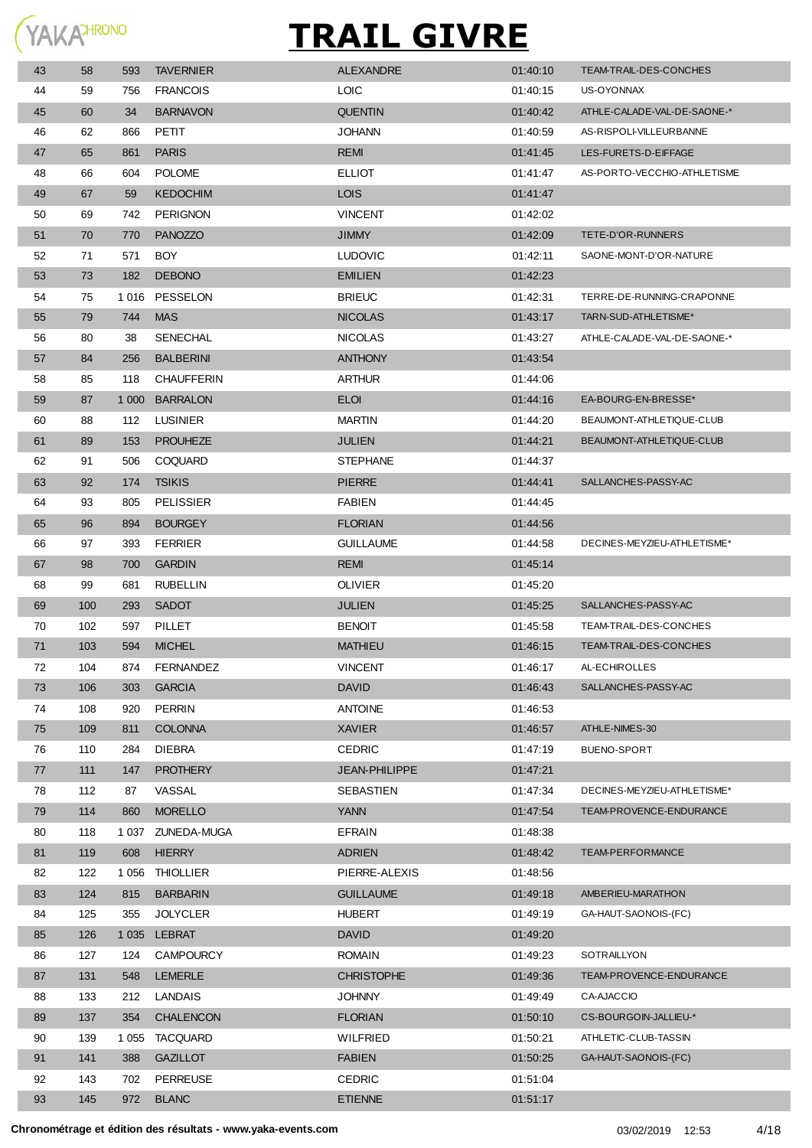

| 43 | 58  | 593     | <b>TAVERNIER</b>  | <b>ALEXANDRE</b>  | 01:40:10 | TEAM-TRAIL-DES-CONCHES      |
|----|-----|---------|-------------------|-------------------|----------|-----------------------------|
| 44 | 59  | 756     | <b>FRANCOIS</b>   | <b>LOIC</b>       | 01:40:15 | US-OYONNAX                  |
| 45 | 60  | 34      | <b>BARNAVON</b>   | <b>QUENTIN</b>    | 01:40:42 | ATHLE-CALADE-VAL-DE-SAONE-* |
| 46 | 62  | 866     | PETIT             | <b>JOHANN</b>     | 01:40:59 | AS-RISPOLI-VILLEURBANNE     |
| 47 | 65  | 861     | <b>PARIS</b>      | <b>REMI</b>       | 01:41:45 | LES-FURETS-D-EIFFAGE        |
| 48 | 66  | 604     | <b>POLOME</b>     | <b>ELLIOT</b>     | 01:41:47 | AS-PORTO-VECCHIO-ATHLETISME |
| 49 | 67  | 59      | <b>KEDOCHIM</b>   | <b>LOIS</b>       | 01:41:47 |                             |
| 50 | 69  | 742     | <b>PERIGNON</b>   | <b>VINCENT</b>    | 01:42:02 |                             |
| 51 | 70  | 770     | <b>PANOZZO</b>    | <b>JIMMY</b>      | 01:42:09 | TETE-D'OR-RUNNERS           |
| 52 | 71  | 571     | <b>BOY</b>        | <b>LUDOVIC</b>    | 01:42:11 | SAONE-MONT-D'OR-NATURE      |
| 53 | 73  | 182     | <b>DEBONO</b>     | <b>EMILIEN</b>    | 01:42:23 |                             |
| 54 | 75  | 1 0 1 6 | PESSELON          | <b>BRIEUC</b>     | 01:42:31 | TERRE-DE-RUNNING-CRAPONNE   |
| 55 | 79  | 744     | <b>MAS</b>        | <b>NICOLAS</b>    | 01:43:17 | TARN-SUD-ATHLETISME*        |
| 56 | 80  | 38      | <b>SENECHAL</b>   | <b>NICOLAS</b>    | 01:43.27 | ATHLE-CALADE-VAL-DE-SAONE-* |
| 57 | 84  | 256     | <b>BALBERINI</b>  | <b>ANTHONY</b>    | 01:43:54 |                             |
| 58 | 85  | 118     | <b>CHAUFFERIN</b> | <b>ARTHUR</b>     | 01:44:06 |                             |
| 59 | 87  |         | 1000 BARRALON     | <b>ELOI</b>       | 01:44:16 | EA-BOURG-EN-BRESSE*         |
| 60 | 88  | 112     | <b>LUSINIER</b>   | <b>MARTIN</b>     | 01:44:20 | BEAUMONT-ATHLETIQUE-CLUB    |
| 61 | 89  | 153     | <b>PROUHEZE</b>   | <b>JULIEN</b>     | 01:44:21 | BEAUMONT-ATHLETIQUE-CLUB    |
| 62 | 91  | 506     | <b>COQUARD</b>    | <b>STEPHANE</b>   | 01:44:37 |                             |
| 63 | 92  | 174     | <b>TSIKIS</b>     | <b>PIERRE</b>     | 01:44:41 | SALLANCHES-PASSY-AC         |
| 64 | 93  | 805     | <b>PELISSIER</b>  | <b>FABIEN</b>     | 01:44:45 |                             |
| 65 | 96  | 894     | <b>BOURGEY</b>    | <b>FLORIAN</b>    | 01:44:56 |                             |
| 66 | 97  | 393     | <b>FERRIER</b>    | <b>GUILLAUME</b>  | 01:44:58 | DECINES-MEYZIEU-ATHLETISME* |
| 67 | 98  | 700     | <b>GARDIN</b>     | <b>REMI</b>       | 01:45:14 |                             |
| 68 | 99  | 681     | <b>RUBELLIN</b>   | OLIVIER           | 01:45:20 |                             |
| 69 | 100 | 293     | <b>SADOT</b>      | <b>JULIEN</b>     | 01:45:25 | SALLANCHES-PASSY-AC         |
| 70 | 102 | 597     | PILLET            | <b>BENOIT</b>     | 01:45:58 | TEAM-TRAIL-DES-CONCHES      |
| 71 | 103 | 594     | <b>MICHEL</b>     | <b>MATHIEU</b>    | 01:46:15 | TEAM-TRAIL-DES-CONCHES      |
| 72 | 104 | 874     | <b>FERNANDEZ</b>  | <b>VINCENT</b>    | 01:46:17 | AL-ECHIROLLES               |
| 73 | 106 | 303     | <b>GARCIA</b>     | <b>DAVID</b>      | 01:46:43 | SALLANCHES-PASSY-AC         |
| 74 | 108 | 920     | <b>PERRIN</b>     | <b>ANTOINE</b>    | 01:46:53 |                             |
| 75 | 109 | 811     | <b>COLONNA</b>    | <b>XAVIER</b>     | 01:46:57 | ATHLE-NIMES-30              |
| 76 | 110 | 284     | <b>DIEBRA</b>     | <b>CEDRIC</b>     | 01:47:19 | BUENO-SPORT                 |
| 77 | 111 | 147     | <b>PROTHERY</b>   | JEAN-PHILIPPE     | 01:47:21 |                             |
| 78 | 112 | 87      | VASSAL            | SEBASTIEN         | 01:47:34 | DECINES-MEYZIEU-ATHLETISME* |
| 79 | 114 | 860     | <b>MORELLO</b>    | <b>YANN</b>       | 01:47:54 | TEAM-PROVENCE-ENDURANCE     |
| 80 | 118 | 1 037   | ZUNEDA-MUGA       | <b>EFRAIN</b>     | 01:48:38 |                             |
| 81 | 119 | 608     | <b>HIERRY</b>     | <b>ADRIEN</b>     | 01:48:42 | TEAM-PERFORMANCE            |
| 82 | 122 |         | 1056 THIOLLIER    | PIERRE-ALEXIS     | 01:48:56 |                             |
| 83 | 124 | 815     | <b>BARBARIN</b>   | <b>GUILLAUME</b>  | 01:49:18 | AMBERIEU-MARATHON           |
| 84 | 125 | 355     | <b>JOLYCLER</b>   | <b>HUBERT</b>     | 01:49:19 | GA-HAUT-SAONOIS-(FC)        |
| 85 | 126 | 1 0 3 5 | LEBRAT            | <b>DAVID</b>      | 01:49:20 |                             |
| 86 | 127 | 124     | <b>CAMPOURCY</b>  | <b>ROMAIN</b>     | 01:49:23 | SOTRAILLYON                 |
| 87 | 131 | 548     | <b>LEMERLE</b>    | <b>CHRISTOPHE</b> | 01:49:36 | TEAM-PROVENCE-ENDURANCE     |
| 88 | 133 | 212     | LANDAIS           | <b>JOHNNY</b>     | 01:49:49 | CA-AJACCIO                  |
| 89 | 137 | 354     | <b>CHALENCON</b>  | <b>FLORIAN</b>    | 01:50:10 | CS-BOURGOIN-JALLIEU-*       |
| 90 | 139 | 1 0 5 5 | <b>TACQUARD</b>   | WILFRIED          | 01:50:21 | ATHLETIC-CLUB-TASSIN        |
| 91 | 141 | 388     | <b>GAZILLOT</b>   | <b>FABIEN</b>     | 01:50:25 | GA-HAUT-SAONOIS-(FC)        |
| 92 | 143 | 702     | <b>PERREUSE</b>   | <b>CEDRIC</b>     | 01:51:04 |                             |
| 93 | 145 | 972     | <b>BLANC</b>      | <b>ETIENNE</b>    | 01:51:17 |                             |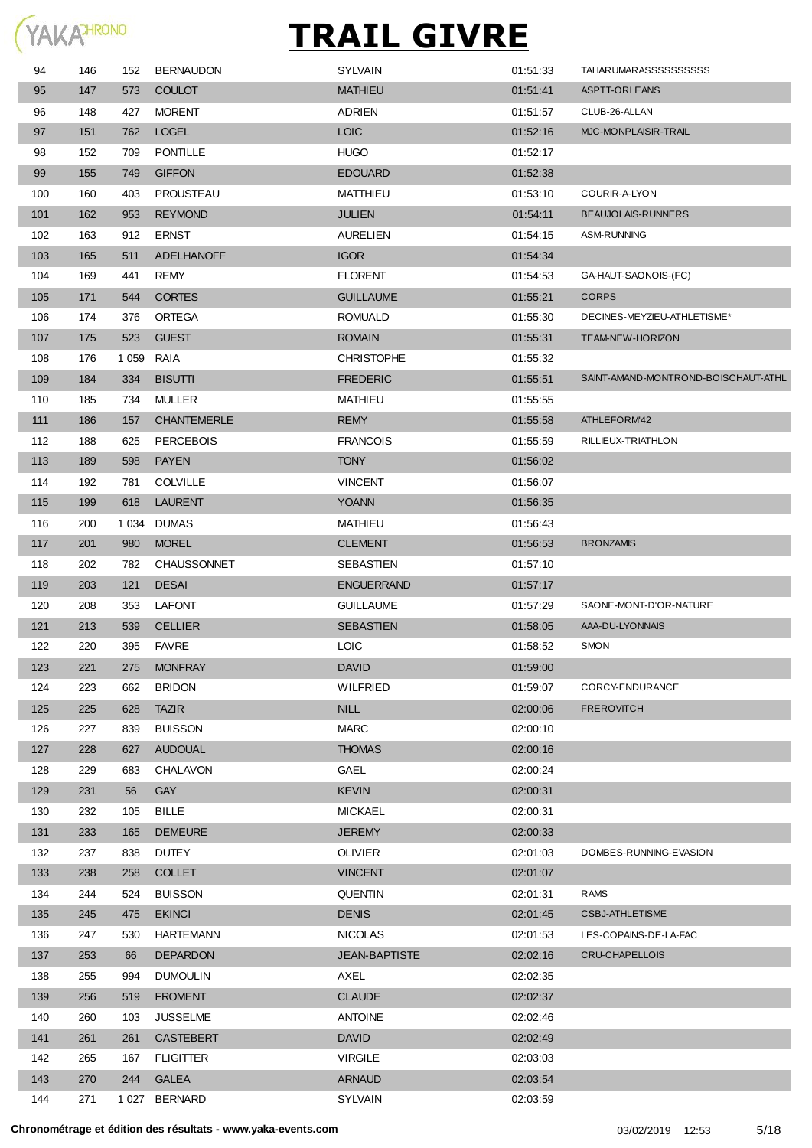

| 94  | 146 | 152     | <b>BERNAUDON</b>   | <b>SYLVAIN</b>       | 01:51:33 | <b>TAHARUMARASSSSSSSSSS</b>         |
|-----|-----|---------|--------------------|----------------------|----------|-------------------------------------|
| 95  | 147 | 573     | <b>COULOT</b>      | <b>MATHIEU</b>       | 01:51:41 | ASPTT-ORLEANS                       |
| 96  | 148 | 427     | <b>MORENT</b>      | <b>ADRIEN</b>        | 01:51:57 | CLUB-26-ALLAN                       |
| 97  | 151 | 762     | <b>LOGEL</b>       | <b>LOIC</b>          | 01:52:16 | MJC-MONPLAISIR-TRAIL                |
| 98  | 152 | 709     | <b>PONTILLE</b>    | <b>HUGO</b>          | 01:52:17 |                                     |
| 99  | 155 | 749     | <b>GIFFON</b>      | <b>EDOUARD</b>       | 01:52:38 |                                     |
| 100 | 160 | 403     | <b>PROUSTEAU</b>   | MATTHIEU             | 01:53:10 | COURIR-A-LYON                       |
| 101 | 162 | 953     | <b>REYMOND</b>     | <b>JULIEN</b>        | 01:54:11 | <b>BEAUJOLAIS-RUNNERS</b>           |
| 102 | 163 | 912     | <b>ERNST</b>       | <b>AURELIEN</b>      | 01:54:15 | <b>ASM-RUNNING</b>                  |
| 103 | 165 | 511     | <b>ADELHANOFF</b>  | <b>IGOR</b>          | 01:54:34 |                                     |
| 104 | 169 | 441     | REMY               | <b>FLORENT</b>       | 01:54:53 | GA-HAUT-SAONOIS-(FC)                |
| 105 | 171 | 544     | <b>CORTES</b>      | <b>GUILLAUME</b>     | 01:55:21 | <b>CORPS</b>                        |
| 106 | 174 | 376     | ORTEGA             | <b>ROMUALD</b>       | 01:55:30 | DECINES-MEYZIEU-ATHLETISME*         |
| 107 | 175 | 523     | <b>GUEST</b>       | <b>ROMAIN</b>        | 01:55:31 | TEAM-NEW-HORIZON                    |
| 108 | 176 | 1 0 5 9 | RAIA               | <b>CHRISTOPHE</b>    | 01:55:32 |                                     |
| 109 | 184 | 334     | <b>BISUTTI</b>     | <b>FREDERIC</b>      | 01:55:51 | SAINT-AMAND-MONTROND-BOISCHAUT-ATHL |
| 110 | 185 | 734     | <b>MULLER</b>      | MATHIEU              | 01:55:55 |                                     |
| 111 | 186 | 157     | <b>CHANTEMERLE</b> | <b>REMY</b>          | 01:55:58 | ATHLEFORM'42                        |
| 112 | 188 | 625     | <b>PERCEBOIS</b>   | <b>FRANCOIS</b>      | 01:55:59 | RILLIEUX-TRIATHLON                  |
| 113 | 189 | 598     | <b>PAYEN</b>       | <b>TONY</b>          | 01:56:02 |                                     |
| 114 | 192 | 781     | <b>COLVILLE</b>    | <b>VINCENT</b>       | 01:56:07 |                                     |
| 115 | 199 | 618     | <b>LAURENT</b>     | <b>YOANN</b>         | 01:56:35 |                                     |
| 116 | 200 | 1 0 3 4 | <b>DUMAS</b>       | MATHIEU              | 01:56:43 |                                     |
| 117 | 201 | 980     | <b>MOREL</b>       | <b>CLEMENT</b>       | 01:56:53 | <b>BRONZAMIS</b>                    |
| 118 | 202 | 782     | <b>CHAUSSONNET</b> | SEBASTIEN            | 01:57:10 |                                     |
| 119 | 203 | 121     | <b>DESAI</b>       | <b>ENGUERRAND</b>    | 01:57:17 |                                     |
| 120 | 208 | 353     | <b>LAFONT</b>      | <b>GUILLAUME</b>     | 01:57:29 | SAONE-MONT-D'OR-NATURE              |
| 121 | 213 | 539     | <b>CELLIER</b>     | <b>SEBASTIEN</b>     | 01:58:05 | AAA-DU-LYONNAIS                     |
| 122 | 220 | 395     | <b>FAVRE</b>       | <b>LOIC</b>          | 01:58:52 | <b>SMON</b>                         |
| 123 | 221 | 275     | <b>MONFRAY</b>     | <b>DAVID</b>         | 01:59:00 |                                     |
| 124 | 223 | 662     | <b>BRIDON</b>      | <b>WILFRIED</b>      | 01:59:07 | CORCY-ENDURANCE                     |
| 125 | 225 | 628     | <b>TAZIR</b>       | <b>NILL</b>          | 02:00:06 | <b>FREROVITCH</b>                   |
| 126 | 227 | 839     | <b>BUISSON</b>     | <b>MARC</b>          | 02:00:10 |                                     |
| 127 | 228 | 627     | <b>AUDOUAL</b>     | <b>THOMAS</b>        | 02:00:16 |                                     |
| 128 | 229 | 683     | <b>CHALAVON</b>    | GAEL                 | 02:00:24 |                                     |
| 129 | 231 | 56      | <b>GAY</b>         | <b>KEVIN</b>         | 02:00:31 |                                     |
| 130 | 232 | 105     | BILLE              | <b>MICKAEL</b>       | 02:00:31 |                                     |
| 131 | 233 | 165     | <b>DEMEURE</b>     | <b>JEREMY</b>        | 02:00:33 |                                     |
| 132 | 237 | 838     | <b>DUTEY</b>       | <b>OLIVIER</b>       | 02:01:03 | DOMBES-RUNNING-EVASION              |
| 133 | 238 | 258     | <b>COLLET</b>      | <b>VINCENT</b>       | 02:01:07 |                                     |
| 134 | 244 | 524     | <b>BUISSON</b>     | <b>QUENTIN</b>       | 02:01:31 | <b>RAMS</b>                         |
| 135 | 245 | 475     | <b>EKINCI</b>      | <b>DENIS</b>         | 02:01:45 | <b>CSBJ-ATHLETISME</b>              |
| 136 | 247 | 530     | <b>HARTEMANN</b>   | <b>NICOLAS</b>       | 02:01:53 | LES-COPAINS-DE-LA-FAC               |
| 137 | 253 | 66      | <b>DEPARDON</b>    | <b>JEAN-BAPTISTE</b> | 02:02:16 | CRU-CHAPELLOIS                      |
| 138 | 255 | 994     | <b>DUMOULIN</b>    | AXEL                 | 02:02:35 |                                     |
| 139 | 256 | 519     | <b>FROMENT</b>     | <b>CLAUDE</b>        | 02:02:37 |                                     |
| 140 | 260 | 103     | <b>JUSSELME</b>    | <b>ANTOINE</b>       | 02:02:46 |                                     |
| 141 | 261 | 261     | <b>CASTEBERT</b>   | <b>DAVID</b>         | 02:02:49 |                                     |
| 142 | 265 | 167     | <b>FLIGITTER</b>   | <b>VIRGILE</b>       | 02:03:03 |                                     |
| 143 | 270 | 244     | <b>GALEA</b>       | <b>ARNAUD</b>        | 02:03:54 |                                     |
| 144 | 271 |         | 1027 BERNARD       | SYLVAIN              | 02:03:59 |                                     |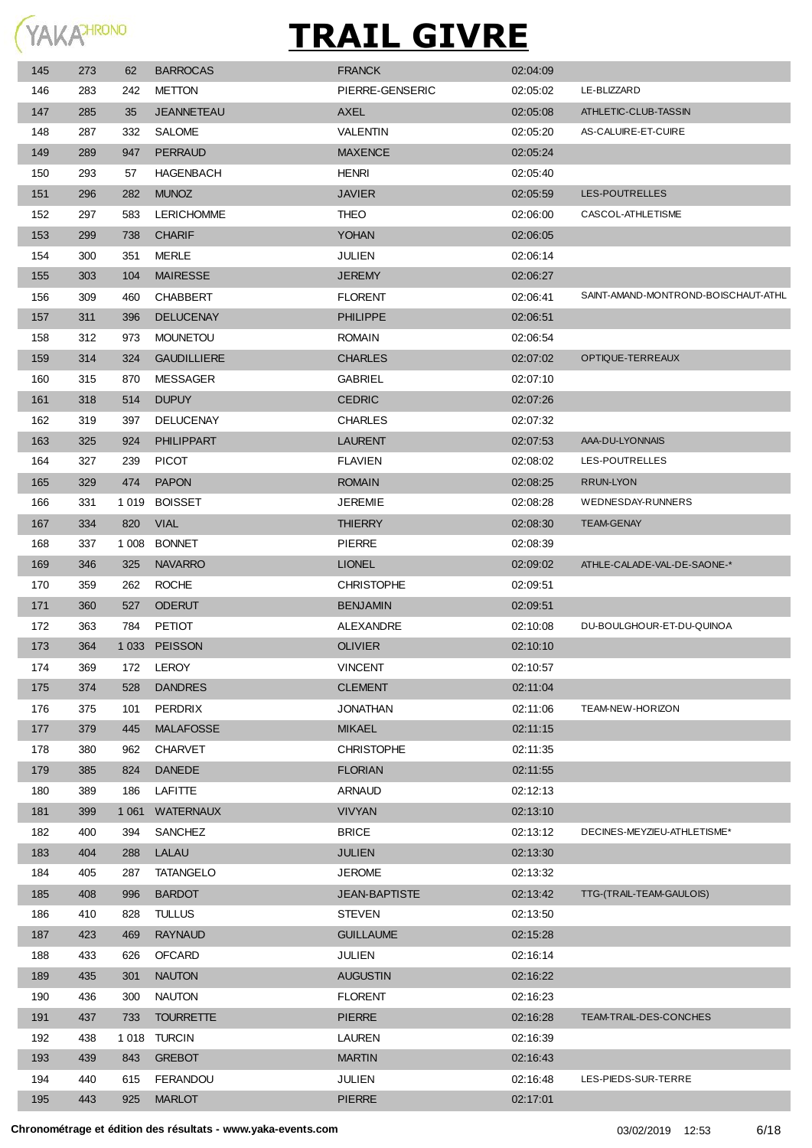

| 145 | 273 | 62      | <b>BARROCAS</b>    | <b>FRANCK</b>        | 02:04:09 |                                     |
|-----|-----|---------|--------------------|----------------------|----------|-------------------------------------|
| 146 | 283 | 242     | <b>METTON</b>      | PIERRE-GENSERIC      | 02:05:02 | LE-BLIZZARD                         |
| 147 | 285 | 35      | <b>JEANNETEAU</b>  | AXEL                 | 02:05:08 | ATHLETIC-CLUB-TASSIN                |
| 148 | 287 | 332     | <b>SALOME</b>      | <b>VALENTIN</b>      | 02:05:20 | AS-CALUIRE-ET-CUIRE                 |
| 149 | 289 | 947     | <b>PERRAUD</b>     | <b>MAXENCE</b>       | 02:05:24 |                                     |
| 150 | 293 | 57      | <b>HAGENBACH</b>   | <b>HENRI</b>         | 02:05:40 |                                     |
| 151 | 296 | 282     | <b>MUNOZ</b>       | <b>JAVIER</b>        | 02:05:59 | LES-POUTRELLES                      |
| 152 | 297 | 583     | <b>LERICHOMME</b>  | <b>THEO</b>          | 02:06:00 | CASCOL-ATHLETISME                   |
| 153 | 299 | 738     | <b>CHARIF</b>      | <b>YOHAN</b>         | 02:06:05 |                                     |
| 154 | 300 | 351     | MERLE              | JULIEN               | 02:06:14 |                                     |
| 155 | 303 | 104     | <b>MAIRESSE</b>    | <b>JEREMY</b>        | 02:06:27 |                                     |
| 156 | 309 | 460     | <b>CHABBERT</b>    | <b>FLORENT</b>       | 02:06:41 | SAINT-AMAND-MONTROND-BOISCHAUT-ATHL |
| 157 | 311 | 396     | <b>DELUCENAY</b>   | <b>PHILIPPE</b>      | 02:06:51 |                                     |
| 158 | 312 | 973     | <b>MOUNETOU</b>    | <b>ROMAIN</b>        | 02:06:54 |                                     |
| 159 | 314 | 324     | <b>GAUDILLIERE</b> | <b>CHARLES</b>       | 02:07:02 | OPTIQUE-TERREAUX                    |
| 160 | 315 | 870     | <b>MESSAGER</b>    | <b>GABRIEL</b>       | 02:07:10 |                                     |
| 161 | 318 | 514     | <b>DUPUY</b>       | <b>CEDRIC</b>        | 02:07:26 |                                     |
| 162 | 319 | 397     | <b>DELUCENAY</b>   | <b>CHARLES</b>       | 02:07:32 |                                     |
| 163 | 325 | 924     | PHILIPPART         | <b>LAURENT</b>       | 02:07:53 | AAA-DU-LYONNAIS                     |
| 164 | 327 | 239     | <b>PICOT</b>       | <b>FLAVIEN</b>       | 02:08:02 | LES-POUTRELLES                      |
| 165 | 329 | 474     | <b>PAPON</b>       | <b>ROMAIN</b>        | 02:08:25 | RRUN-LYON                           |
| 166 | 331 | 1 0 1 9 | <b>BOISSET</b>     | <b>JEREMIE</b>       | 02:08:28 | WEDNESDAY-RUNNERS                   |
| 167 | 334 | 820     | <b>VIAL</b>        | <b>THIERRY</b>       | 02:08:30 | <b>TEAM-GENAY</b>                   |
| 168 | 337 | 1 008   | <b>BONNET</b>      | <b>PIERRE</b>        | 02:08:39 |                                     |
| 169 | 346 | 325     | <b>NAVARRO</b>     | <b>LIONEL</b>        | 02:09:02 | ATHLE-CALADE-VAL-DE-SAONE-*         |
| 170 | 359 | 262     | <b>ROCHE</b>       | <b>CHRISTOPHE</b>    | 02:09:51 |                                     |
| 171 | 360 | 527     | <b>ODERUT</b>      | <b>BENJAMIN</b>      | 02:09:51 |                                     |
| 172 | 363 | 784     | <b>PETIOT</b>      | ALEXANDRE            | 02:10:08 | DU-BOULGHOUR-ET-DU-QUINOA           |
| 173 | 364 |         | 1033 PEISSON       | <b>OLIVIER</b>       | 02:10:10 |                                     |
| 174 | 369 | 172     | LEROY              | <b>VINCENT</b>       | 02:10:57 |                                     |
| 175 | 374 | 528     | <b>DANDRES</b>     | <b>CLEMENT</b>       | 02:11:04 |                                     |
| 176 | 375 | 101     | PERDRIX            | <b>JONATHAN</b>      | 02:11:06 | TEAM-NEW-HORIZON                    |
| 177 | 379 | 445     | <b>MALAFOSSE</b>   | <b>MIKAEL</b>        | 02:11:15 |                                     |
| 178 | 380 | 962     | <b>CHARVET</b>     | <b>CHRISTOPHE</b>    | 02:11:35 |                                     |
| 179 | 385 | 824     | <b>DANEDE</b>      | <b>FLORIAN</b>       | 02:11:55 |                                     |
| 180 | 389 | 186     | LAFITTE            | <b>ARNAUD</b>        | 02:12:13 |                                     |
| 181 | 399 | 1 0 6 1 | <b>WATERNAUX</b>   | <b>VIVYAN</b>        | 02:13:10 |                                     |
| 182 | 400 | 394     | <b>SANCHEZ</b>     | <b>BRICE</b>         | 02:13:12 | DECINES-MEYZIEU-ATHLETISME*         |
| 183 | 404 | 288     | LALAU              | <b>JULIEN</b>        | 02:13:30 |                                     |
| 184 | 405 | 287     | <b>TATANGELO</b>   | <b>JEROME</b>        | 02:13:32 |                                     |
| 185 | 408 | 996     | <b>BARDOT</b>      | <b>JEAN-BAPTISTE</b> | 02:13:42 | TTG-(TRAIL-TEAM-GAULOIS)            |
| 186 | 410 | 828     | <b>TULLUS</b>      | <b>STEVEN</b>        | 02:13:50 |                                     |
| 187 | 423 | 469     | <b>RAYNAUD</b>     | <b>GUILLAUME</b>     | 02:15:28 |                                     |
| 188 | 433 | 626     | <b>OFCARD</b>      | JULIEN               | 02:16:14 |                                     |
| 189 | 435 | 301     | <b>NAUTON</b>      | <b>AUGUSTIN</b>      | 02:16:22 |                                     |
| 190 | 436 | 300     | <b>NAUTON</b>      | <b>FLORENT</b>       | 02:16:23 |                                     |
| 191 | 437 | 733     | <b>TOURRETTE</b>   | <b>PIERRE</b>        | 02:16:28 | TEAM-TRAIL-DES-CONCHES              |
| 192 | 438 |         | 1018 TURCIN        | <b>LAUREN</b>        | 02:16:39 |                                     |
| 193 | 439 | 843     | <b>GREBOT</b>      | <b>MARTIN</b>        | 02:16:43 |                                     |
| 194 | 440 | 615     | FERANDOU           | JULIEN               | 02:16:48 | LES-PIEDS-SUR-TERRE                 |
| 195 | 443 | 925     | <b>MARLOT</b>      | <b>PIERRE</b>        | 02:17:01 |                                     |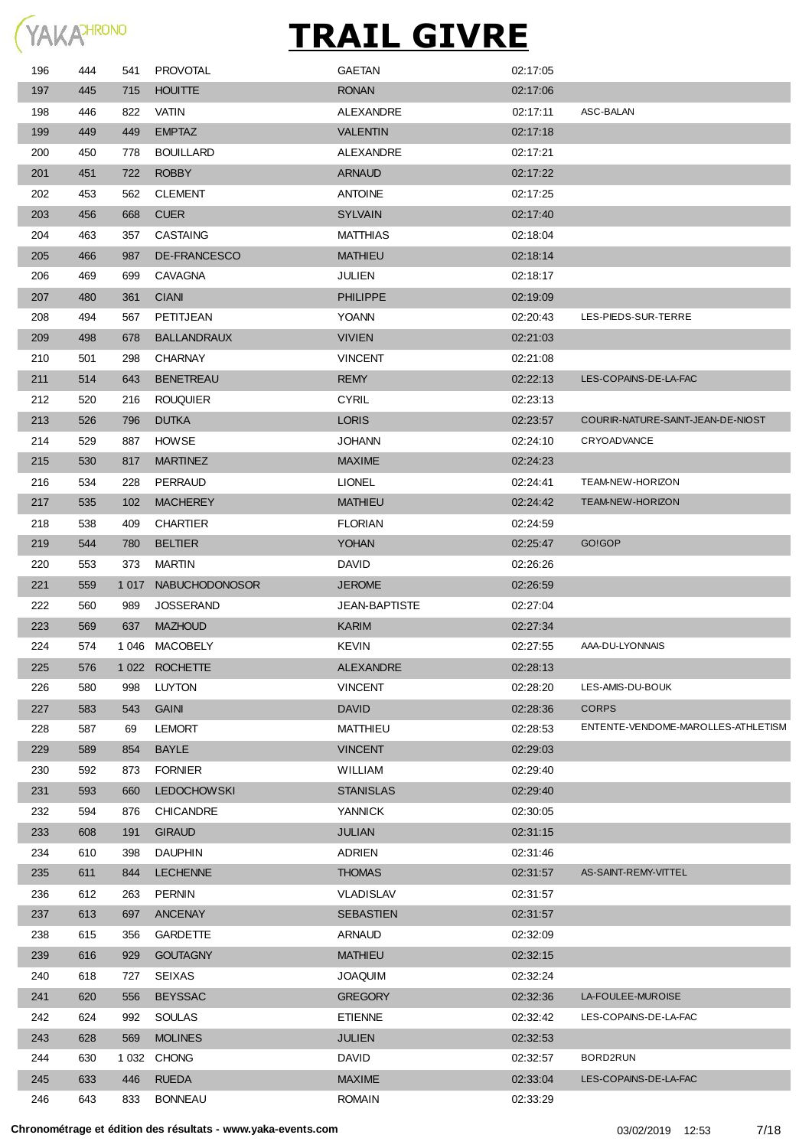

| 196 | 444 | 541     | <b>PROVOTAL</b>       | <b>GAETAN</b>        | 02:17:05 |                                    |
|-----|-----|---------|-----------------------|----------------------|----------|------------------------------------|
| 197 | 445 | 715     | <b>HOUITTE</b>        | <b>RONAN</b>         | 02:17:06 |                                    |
| 198 | 446 | 822     | VATIN                 | ALEXANDRE            | 02:17:11 | ASC-BALAN                          |
| 199 | 449 | 449     | <b>EMPTAZ</b>         | <b>VALENTIN</b>      | 02:17:18 |                                    |
| 200 | 450 | 778     | <b>BOUILLARD</b>      | <b>ALEXANDRE</b>     | 02:17:21 |                                    |
| 201 | 451 | 722     | <b>ROBBY</b>          | <b>ARNAUD</b>        | 02:17:22 |                                    |
| 202 | 453 | 562     | <b>CLEMENT</b>        | <b>ANTOINE</b>       | 02:17:25 |                                    |
| 203 | 456 | 668     | <b>CUER</b>           | <b>SYLVAIN</b>       | 02:17:40 |                                    |
| 204 | 463 | 357     | <b>CASTAING</b>       | <b>MATTHIAS</b>      | 02:18:04 |                                    |
| 205 | 466 | 987     | DE-FRANCESCO          | <b>MATHIEU</b>       | 02:18:14 |                                    |
| 206 | 469 | 699     | <b>CAVAGNA</b>        | <b>JULIEN</b>        | 02:18:17 |                                    |
| 207 | 480 | 361     | <b>CIANI</b>          | <b>PHILIPPE</b>      | 02:19:09 |                                    |
| 208 | 494 | 567     | PETITJEAN             | <b>YOANN</b>         | 02:20:43 | LES-PIEDS-SUR-TERRE                |
| 209 | 498 | 678     | <b>BALLANDRAUX</b>    | <b>VIVIEN</b>        | 02:21:03 |                                    |
| 210 | 501 | 298     | <b>CHARNAY</b>        | <b>VINCENT</b>       | 02:21:08 |                                    |
| 211 | 514 | 643     | <b>BENETREAU</b>      | <b>REMY</b>          | 02:22:13 | LES-COPAINS-DE-LA-FAC              |
| 212 | 520 | 216     | <b>ROUQUIER</b>       | <b>CYRIL</b>         | 02:23:13 |                                    |
| 213 | 526 | 796     | <b>DUTKA</b>          | <b>LORIS</b>         | 02:23:57 | COURIR-NATURE-SAINT-JEAN-DE-NIOST  |
| 214 | 529 | 887     | <b>HOWSE</b>          | <b>JOHANN</b>        | 02:24:10 | CRYOADVANCE                        |
| 215 | 530 | 817     | <b>MARTINEZ</b>       | <b>MAXIME</b>        | 02:24:23 |                                    |
| 216 | 534 | 228     | PERRAUD               | <b>LIONEL</b>        | 02:24:41 | TEAM-NEW-HORIZON                   |
| 217 | 535 | 102     | <b>MACHEREY</b>       | <b>MATHIEU</b>       | 02:24:42 | TEAM-NEW-HORIZON                   |
| 218 | 538 | 409     | <b>CHARTIER</b>       | <b>FLORIAN</b>       | 02:24:59 |                                    |
| 219 | 544 | 780     | <b>BELTIER</b>        | <b>YOHAN</b>         | 02:25:47 | GO!GOP                             |
| 220 | 553 | 373     | MARTIN                | DAVID                | 02:26:26 |                                    |
| 221 | 559 | 1 0 1 7 | <b>NABUCHODONOSOR</b> | <b>JEROME</b>        | 02:26:59 |                                    |
| 222 | 560 | 989     | <b>JOSSERAND</b>      | <b>JEAN-BAPTISTE</b> | 02:27:04 |                                    |
| 223 | 569 | 637     | <b>MAZHOUD</b>        | <b>KARIM</b>         | 02:27:34 |                                    |
| 224 | 574 | 1 0 4 6 | MACOBELY              | <b>KEVIN</b>         | 02:27:55 | AAA-DU-LYONNAIS                    |
| 225 | 576 |         | 1022 ROCHETTE         | <b>ALEXANDRE</b>     | 02:28:13 |                                    |
| 226 | 580 | 998     | <b>LUYTON</b>         | <b>VINCENT</b>       | 02:28:20 | LES-AMIS-DU-BOUK                   |
| 227 | 583 | 543     | <b>GAINI</b>          | <b>DAVID</b>         | 02:28:36 | <b>CORPS</b>                       |
| 228 | 587 | 69      | <b>LEMORT</b>         | MATTHIEU             | 02:28:53 | ENTENTE-VENDOME-MAROLLES-ATHLETISM |
| 229 | 589 | 854     | <b>BAYLE</b>          | <b>VINCENT</b>       | 02:29:03 |                                    |
| 230 | 592 | 873     | <b>FORNIER</b>        | <b>WILLIAM</b>       | 02:29:40 |                                    |
| 231 | 593 | 660     | <b>LEDOCHOWSKI</b>    | <b>STANISLAS</b>     | 02:29:40 |                                    |
| 232 | 594 | 876     | <b>CHICANDRE</b>      | YANNICK              | 02:30:05 |                                    |
| 233 | 608 | 191     | <b>GIRAUD</b>         | <b>JULIAN</b>        | 02:31:15 |                                    |
| 234 | 610 | 398     | <b>DAUPHIN</b>        | <b>ADRIEN</b>        | 02:31:46 |                                    |
| 235 | 611 | 844     | <b>LECHENNE</b>       | <b>THOMAS</b>        | 02:31:57 | AS-SAINT-REMY-VITTEL               |
| 236 | 612 | 263     | <b>PERNIN</b>         | <b>VLADISLAV</b>     | 02:31:57 |                                    |
| 237 | 613 | 697     | ANCENAY               | <b>SEBASTIEN</b>     | 02:31:57 |                                    |
| 238 | 615 | 356     | <b>GARDETTE</b>       | <b>ARNAUD</b>        | 02:32:09 |                                    |
| 239 | 616 | 929     | <b>GOUTAGNY</b>       | <b>MATHIEU</b>       | 02:32:15 |                                    |
| 240 | 618 | 727     | <b>SEIXAS</b>         | <b>MIUDACU</b>       | 02:32:24 |                                    |
| 241 | 620 | 556     | <b>BEYSSAC</b>        | <b>GREGORY</b>       | 02:32:36 | LA-FOULEE-MUROISE                  |
| 242 | 624 | 992     | <b>SOULAS</b>         | <b>ETIENNE</b>       | 02:32:42 | LES-COPAINS-DE-LA-FAC              |
| 243 | 628 | 569     | <b>MOLINES</b>        | <b>JULIEN</b>        | 02:32:53 |                                    |
| 244 | 630 |         | 1032 CHONG            | DAVID                | 02:32:57 | BORD2RUN                           |
| 245 | 633 | 446     | <b>RUEDA</b>          | <b>MAXIME</b>        | 02:33:04 | LES-COPAINS-DE-LA-FAC              |
| 246 | 643 | 833     | <b>BONNEAU</b>        | <b>ROMAIN</b>        | 02:33:29 |                                    |
|     |     |         |                       |                      |          |                                    |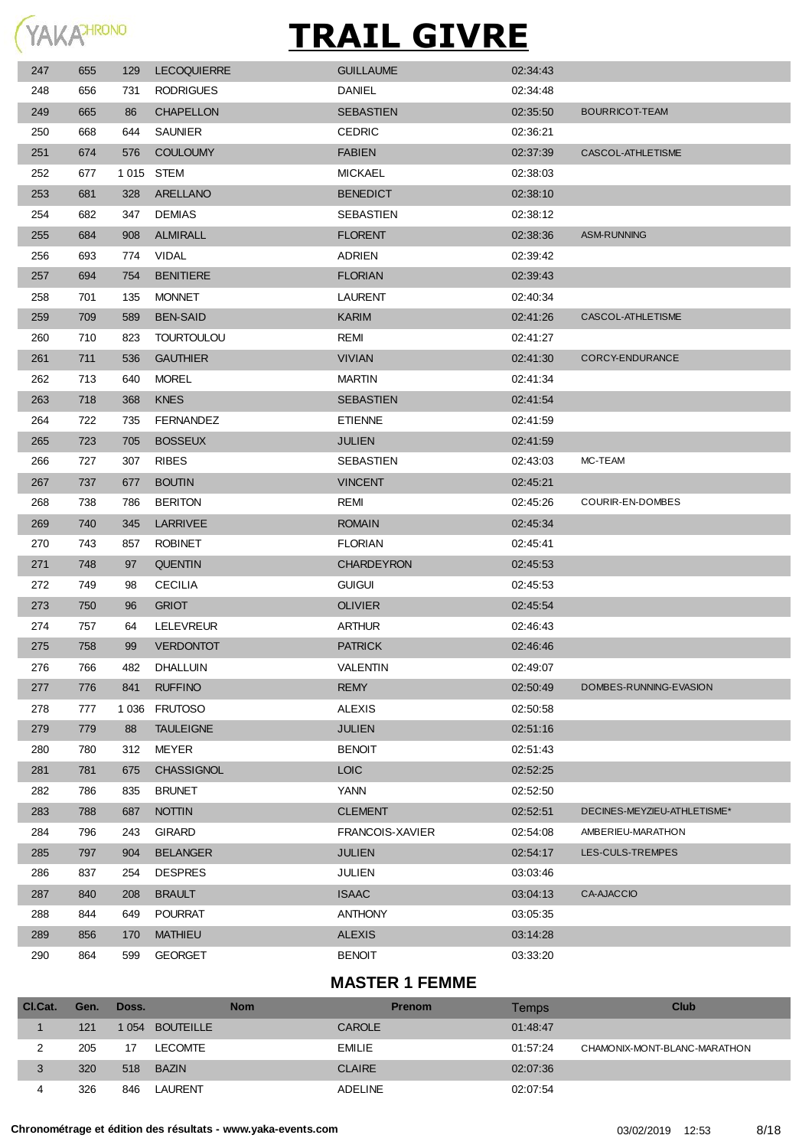

| 247 | 655 | 129     | <b>LECOQUIERRE</b> | <b>GUILLAUME</b>       | 02:34:43 |                             |
|-----|-----|---------|--------------------|------------------------|----------|-----------------------------|
| 248 | 656 | 731     | <b>RODRIGUES</b>   | <b>DANIEL</b>          | 02:34:48 |                             |
| 249 | 665 | 86      | <b>CHAPELLON</b>   | <b>SEBASTIEN</b>       | 02:35:50 | BOURRICOT-TEAM              |
| 250 | 668 | 644     | <b>SAUNIER</b>     | <b>CEDRIC</b>          | 02:36:21 |                             |
| 251 | 674 | 576     | <b>COULOUMY</b>    | <b>FABIEN</b>          | 02:37:39 | CASCOL-ATHLETISME           |
| 252 | 677 | 1 0 1 5 | <b>STEM</b>        | <b>MICKAEL</b>         | 02:38:03 |                             |
| 253 | 681 | 328     | ARELLANO           | <b>BENEDICT</b>        | 02:38:10 |                             |
| 254 | 682 | 347     | <b>DEMIAS</b>      | SEBASTIEN              | 02:38:12 |                             |
| 255 | 684 | 908     | <b>ALMIRALL</b>    | <b>FLORENT</b>         | 02:38:36 | ASM-RUNNING                 |
| 256 | 693 | 774     | VIDAL              | <b>ADRIEN</b>          | 02:39:42 |                             |
| 257 | 694 | 754     | <b>BENITIERE</b>   | <b>FLORIAN</b>         | 02:39:43 |                             |
| 258 | 701 | 135     | <b>MONNET</b>      | <b>LAURENT</b>         | 02:40:34 |                             |
| 259 | 709 | 589     | <b>BEN-SAID</b>    | <b>KARIM</b>           | 02:41:26 | CASCOL-ATHLETISME           |
| 260 | 710 | 823     | <b>TOURTOULOU</b>  | REMI                   | 02:41:27 |                             |
| 261 | 711 | 536     | <b>GAUTHIER</b>    | <b>VIVIAN</b>          | 02:41:30 | CORCY-ENDURANCE             |
| 262 | 713 | 640     | MOREL              | <b>MARTIN</b>          | 02:41:34 |                             |
| 263 | 718 | 368     | <b>KNES</b>        | <b>SEBASTIEN</b>       | 02:41:54 |                             |
| 264 | 722 | 735     | <b>FERNANDEZ</b>   | <b>ETIENNE</b>         | 02:41:59 |                             |
| 265 | 723 | 705     | <b>BOSSEUX</b>     | <b>JULIEN</b>          | 02:41:59 |                             |
| 266 | 727 | 307     | <b>RIBES</b>       | SEBASTIEN              | 02:43:03 | MC-TEAM                     |
| 267 | 737 | 677     | <b>BOUTIN</b>      | <b>VINCENT</b>         | 02:45:21 |                             |
| 268 | 738 | 786     | <b>BERITON</b>     | REMI                   | 02:45:26 | COURIR-EN-DOMBES            |
| 269 | 740 | 345     | <b>LARRIVEE</b>    | <b>ROMAIN</b>          | 02:45:34 |                             |
| 270 | 743 | 857     | <b>ROBINET</b>     | <b>FLORIAN</b>         | 02:45:41 |                             |
| 271 | 748 | 97      | <b>QUENTIN</b>     | <b>CHARDEYRON</b>      | 02:45:53 |                             |
| 272 | 749 | 98      | <b>CECILIA</b>     | <b>GUIGUI</b>          | 02:45:53 |                             |
| 273 | 750 | 96      | <b>GRIOT</b>       | <b>OLIVIER</b>         | 02:45:54 |                             |
| 274 | 757 | 64      | LELEVREUR          | <b>ARTHUR</b>          | 02:46:43 |                             |
| 275 | 758 | 99      | <b>VERDONTOT</b>   | <b>PATRICK</b>         | 02:46:46 |                             |
| 276 | 766 | 482     | DHALLUIN           | VALENTIN               | 02:49:07 |                             |
| 277 | 776 | 841     | <b>RUFFINO</b>     | <b>REMY</b>            | 02:50:49 | DOMBES-RUNNING-EVASION      |
| 278 | 777 | 1 0 3 6 | <b>FRUTOSO</b>     | <b>ALEXIS</b>          | 02:50:58 |                             |
| 279 | 779 | 88      | <b>TAULEIGNE</b>   | <b>JULIEN</b>          | 02:51:16 |                             |
| 280 | 780 | 312     | <b>MEYER</b>       | <b>BENOIT</b>          | 02:51:43 |                             |
| 281 | 781 | 675     | CHASSIGNOL         | <b>LOIC</b>            | 02:52:25 |                             |
| 282 | 786 | 835     | <b>BRUNET</b>      | YANN                   | 02:52:50 |                             |
| 283 | 788 | 687     | <b>NOTTIN</b>      | <b>CLEMENT</b>         | 02:52:51 | DECINES-MEYZIEU-ATHLETISME* |
| 284 | 796 | 243     | <b>GIRARD</b>      | <b>FRANCOIS-XAVIER</b> | 02:54:08 | AMBERIEU-MARATHON           |
| 285 | 797 | 904     | <b>BELANGER</b>    | <b>JULIEN</b>          | 02:54:17 | LES-CULS-TREMPES            |
| 286 | 837 | 254     | <b>DESPRES</b>     | JULIEN                 | 03:03:46 |                             |
| 287 | 840 | 208     | <b>BRAULT</b>      | <b>ISAAC</b>           | 03:04:13 | <b>CA-AJACCIO</b>           |
| 288 | 844 | 649     | <b>POURRAT</b>     | <b>ANTHONY</b>         | 03:05:35 |                             |
| 289 | 856 | 170     | <b>MATHIEU</b>     | <b>ALEXIS</b>          | 03:14:28 |                             |
| 290 | 864 | 599     | <b>GEORGET</b>     | <b>BENOIT</b>          | 03:33:20 |                             |
|     |     |         |                    |                        |          |                             |

#### **MASTER 1 FEMME**

| CI.Cat. | Gen. | Doss.   | <b>Nom</b>       | <b>Prenom</b>  | Temps    | Club                         |
|---------|------|---------|------------------|----------------|----------|------------------------------|
|         | 121  | 1 0 5 4 | <b>BOUTEILLE</b> | <b>CAROLE</b>  | 01:48:47 |                              |
|         | 205  | 17      | LECOMTE          | <b>EMILIE</b>  | 01:57:24 | CHAMONIX-MONT-BLANC-MARATHON |
|         | 320  |         | 518 BAZIN        | <b>CLAIRE</b>  | 02:07:36 |                              |
| 4       | 326  | 846     | LAURENT          | <b>ADELINE</b> | 02:07:54 |                              |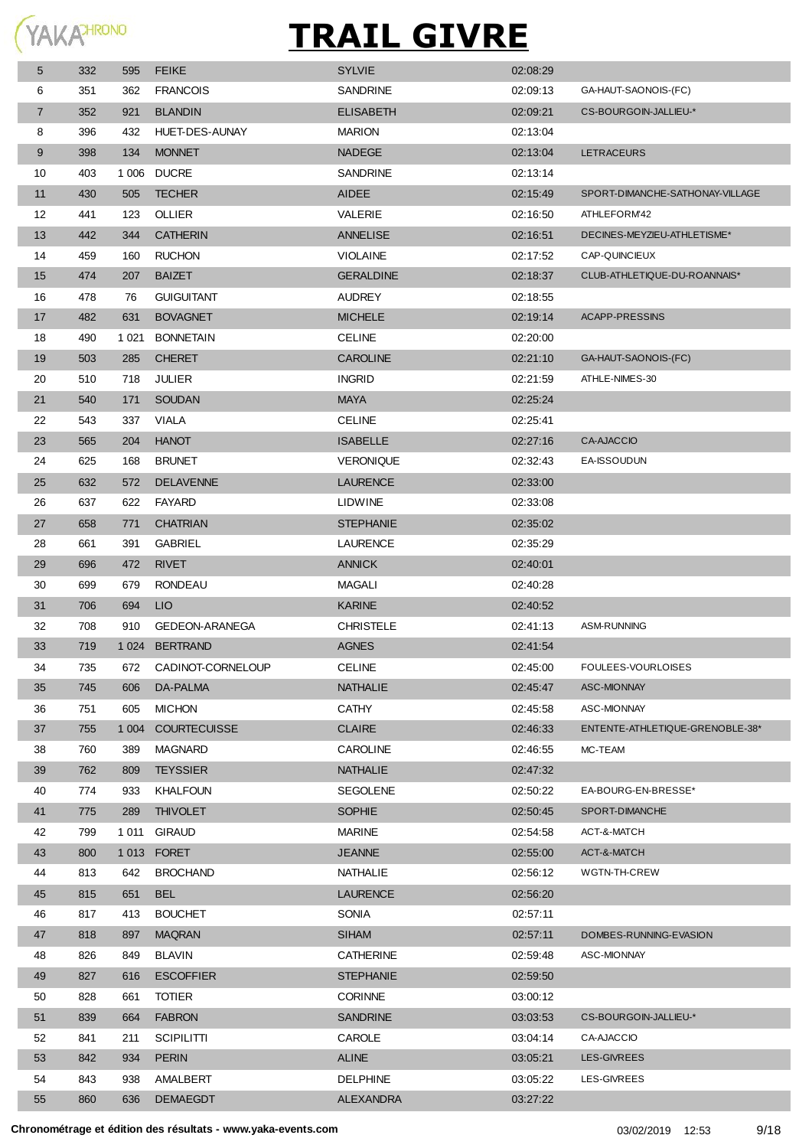

| 5  | 332 | 595     | <b>FEIKE</b>          | <b>SYLVIE</b>    | 02:08:29 |                                 |
|----|-----|---------|-----------------------|------------------|----------|---------------------------------|
| 6  | 351 | 362     | <b>FRANCOIS</b>       | <b>SANDRINE</b>  | 02:09:13 | GA-HAUT-SAONOIS-(FC)            |
| 7  | 352 | 921     | <b>BLANDIN</b>        | <b>ELISABETH</b> | 02:09:21 | CS-BOURGOIN-JALLIEU-*           |
| 8  | 396 | 432     | HUET-DES-AUNAY        | <b>MARION</b>    | 02:13:04 |                                 |
| 9  | 398 | 134     | <b>MONNET</b>         | <b>NADEGE</b>    | 02:13:04 | <b>LETRACEURS</b>               |
| 10 | 403 | 1 0 0 6 | <b>DUCRE</b>          | <b>SANDRINE</b>  | 02:13:14 |                                 |
| 11 | 430 | 505     | <b>TECHER</b>         | <b>AIDEE</b>     | 02:15:49 | SPORT-DIMANCHE-SATHONAY-VILLAGE |
| 12 | 441 | 123     | <b>OLLIER</b>         | VALERIE          | 02:16:50 | ATHLEFORM42                     |
| 13 | 442 | 344     | <b>CATHERIN</b>       | <b>ANNELISE</b>  | 02:16:51 | DECINES-MEYZIEU-ATHLETISME*     |
| 14 | 459 | 160     | <b>RUCHON</b>         | <b>VIOLAINE</b>  | 02:17:52 | CAP-QUINCIEUX                   |
| 15 | 474 | 207     | <b>BAIZET</b>         | <b>GERALDINE</b> | 02:18:37 | CLUB-ATHLETIQUE-DU-ROANNAIS*    |
| 16 | 478 | 76      | <b>GUIGUITANT</b>     | <b>AUDREY</b>    | 02:18:55 |                                 |
| 17 | 482 | 631     | <b>BOVAGNET</b>       | <b>MICHELE</b>   | 02:19:14 | ACAPP-PRESSINS                  |
| 18 | 490 | 1 0 2 1 | <b>BONNETAIN</b>      | <b>CELINE</b>    | 02:20:00 |                                 |
| 19 | 503 | 285     | <b>CHERET</b>         | <b>CAROLINE</b>  | 02:21:10 | GA-HAUT-SAONOIS-(FC)            |
| 20 | 510 | 718     | JULIER                | <b>INGRID</b>    | 02:21:59 | ATHLE-NIMES-30                  |
| 21 | 540 | 171     | <b>SOUDAN</b>         | <b>MAYA</b>      | 02:25:24 |                                 |
| 22 | 543 | 337     | VIALA                 | <b>CELINE</b>    | 02:25:41 |                                 |
| 23 | 565 | 204     | <b>HANOT</b>          | <b>ISABELLE</b>  | 02:27:16 | <b>CA-AJACCIO</b>               |
| 24 | 625 | 168     | <b>BRUNET</b>         | <b>VERONIQUE</b> | 02:32:43 | EA-ISSOUDUN                     |
| 25 | 632 | 572     | <b>DELAVENNE</b>      | <b>LAURENCE</b>  | 02:33:00 |                                 |
| 26 | 637 | 622     | <b>FAYARD</b>         | <b>LIDWINE</b>   | 02:33:08 |                                 |
| 27 | 658 | 771     | <b>CHATRIAN</b>       | <b>STEPHANIE</b> | 02:35:02 |                                 |
| 28 | 661 | 391     | <b>GABRIEL</b>        | LAURENCE         | 02:35:29 |                                 |
| 29 | 696 | 472     | <b>RIVET</b>          | <b>ANNICK</b>    | 02:40:01 |                                 |
| 30 | 699 | 679     | <b>RONDEAU</b>        | <b>MAGALI</b>    | 02:40:28 |                                 |
| 31 | 706 | 694     | LIO                   | <b>KARINE</b>    | 02:40:52 |                                 |
| 32 | 708 | 910     | <b>GEDEON-ARANEGA</b> | <b>CHRISTELE</b> | 02:41:13 | ASM-RUNNING                     |
| 33 | 719 |         | 1024 BERTRAND         | <b>AGNES</b>     | 02:41:54 |                                 |
| 34 | 735 | 672     | CADINOT-CORNELOUP     | <b>CELINE</b>    | 02:45:00 | FOULEES-VOURLOISES              |
| 35 | 745 | 606     | DA-PALMA              | <b>NATHALIE</b>  | 02:45:47 | ASC-MIONNAY                     |
| 36 | 751 | 605     | <b>MICHON</b>         | <b>CATHY</b>     | 02:45:58 | ASC-MIONNAY                     |
| 37 | 755 |         | 1 004 COURTECUISSE    | <b>CLAIRE</b>    | 02:46:33 | ENTENTE-ATHLETIQUE-GRENOBLE-38* |
| 38 | 760 | 389     | <b>MAGNARD</b>        | <b>CAROLINE</b>  | 02:46:55 | MC-TEAM                         |
| 39 | 762 | 809     | <b>TEYSSIER</b>       | <b>NATHALIE</b>  | 02:47:32 |                                 |
| 40 | 774 | 933     | <b>KHALFOUN</b>       | <b>SEGOLENE</b>  | 02:50:22 | EA-BOURG-EN-BRESSE*             |
| 41 | 775 | 289     | <b>THIVOLET</b>       | <b>SOPHIE</b>    | 02:50:45 | SPORT-DIMANCHE                  |
| 42 | 799 | 1 0 1 1 | <b>GIRAUD</b>         | <b>MARINE</b>    | 02:54:58 | ACT-&-MATCH                     |
| 43 | 800 |         | 1013 FORET            | <b>JEANNE</b>    | 02:55:00 | ACT-&-MATCH                     |
| 44 | 813 | 642     | <b>BROCHAND</b>       | NATHALIE         | 02:56:12 | WGTN-TH-CREW                    |
| 45 | 815 | 651     | <b>BEL</b>            | <b>LAURENCE</b>  | 02:56:20 |                                 |
| 46 | 817 | 413     | <b>BOUCHET</b>        | <b>SONIA</b>     | 02:57:11 |                                 |
| 47 | 818 | 897     | <b>MAQRAN</b>         | <b>SIHAM</b>     | 02:57:11 | DOMBES-RUNNING-EVASION          |
| 48 | 826 | 849     | <b>BLAVIN</b>         | <b>CATHERINE</b> | 02:59:48 | ASC-MIONNAY                     |
| 49 | 827 | 616     | <b>ESCOFFIER</b>      | <b>STEPHANIE</b> | 02:59:50 |                                 |
| 50 | 828 | 661     | <b>TOTIER</b>         | <b>CORINNE</b>   | 03:00:12 |                                 |
| 51 | 839 | 664     | <b>FABRON</b>         | <b>SANDRINE</b>  | 03:03:53 | CS-BOURGOIN-JALLIEU-*           |
| 52 | 841 | 211     | <b>SCIPILITTI</b>     | CAROLE           | 03:04:14 | CA-AJACCIO                      |
| 53 | 842 | 934     | <b>PERIN</b>          | <b>ALINE</b>     | 03:05:21 | LES-GIVREES                     |
| 54 | 843 | 938     | AMALBERT              | <b>DELPHINE</b>  | 03:05:22 | LES-GIVREES                     |
| 55 | 860 | 636     | <b>DEMAEGDT</b>       | <b>ALEXANDRA</b> | 03:27:22 |                                 |
|    |     |         |                       |                  |          |                                 |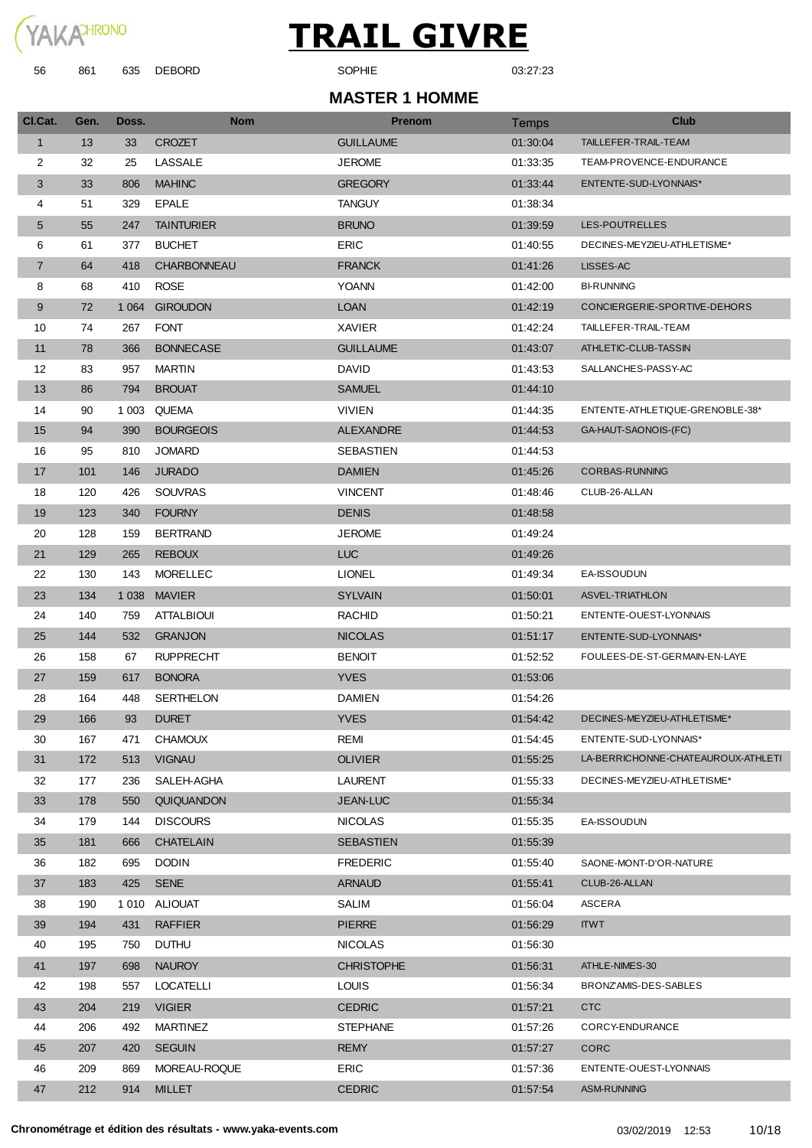

| 56             | 861  | 635     | <b>DEBORD</b>     | SOPHIE                | 03:27:23     |                                    |
|----------------|------|---------|-------------------|-----------------------|--------------|------------------------------------|
|                |      |         |                   | <b>MASTER 1 HOMME</b> |              |                                    |
| CI.Cat.        | Gen. | Doss.   | <b>Nom</b>        | <b>Prenom</b>         | <b>Temps</b> | <b>Club</b>                        |
| $\mathbf{1}$   | 13   | 33      | <b>CROZET</b>     | <b>GUILLAUME</b>      | 01:30:04     | TAILLEFER-TRAIL-TEAM               |
| 2              | 32   | 25      | LASSALE           | <b>JEROME</b>         | 01:33:35     | TEAM-PROVENCE-ENDURANCE            |
| 3              | 33   | 806     | <b>MAHINC</b>     | <b>GREGORY</b>        | 01:33:44     | ENTENTE-SUD-LYONNAIS*              |
| 4              | 51   | 329     | <b>EPALE</b>      | <b>TANGUY</b>         | 01:38:34     |                                    |
| 5              | 55   | 247     | <b>TAINTURIER</b> | <b>BRUNO</b>          | 01:39:59     | <b>LES-POUTRELLES</b>              |
| 6              | 61   | 377     | <b>BUCHET</b>     | <b>ERIC</b>           | 01:40:55     | DECINES-MEYZIEU-ATHLETISME*        |
| $\overline{7}$ | 64   | 418     | CHARBONNEAU       | <b>FRANCK</b>         | 01:41:26     | LISSES-AC                          |
| 8              | 68   | 410     | <b>ROSE</b>       | <b>YOANN</b>          | 01:42:00     | <b>BI-RUNNING</b>                  |
| 9              | 72   | 1 0 6 4 | <b>GIROUDON</b>   | <b>LOAN</b>           | 01:42:19     | CONCIERGERIE-SPORTIVE-DEHORS       |
| 10             | 74   | 267     | <b>FONT</b>       | <b>XAVIER</b>         | 01:42:24     | TAILLEFER-TRAIL-TEAM               |
| 11             | 78   | 366     | <b>BONNECASE</b>  | <b>GUILLAUME</b>      | 01:43:07     | ATHLETIC-CLUB-TASSIN               |
| 12             | 83   | 957     | <b>MARTIN</b>     | <b>DAVID</b>          | 01:43:53     | SALLANCHES-PASSY-AC                |
| 13             | 86   | 794     | <b>BROUAT</b>     | <b>SAMUEL</b>         | 01:44:10     |                                    |
| 14             | 90   | 1 0 0 3 | <b>QUEMA</b>      | <b>VIVIEN</b>         | 01:44:35     | ENTENTE-ATHLETIQUE-GRENOBLE-38*    |
| 15             | 94   | 390     | <b>BOURGEOIS</b>  | <b>ALEXANDRE</b>      | 01:44:53     | GA-HAUT-SAONOIS-(FC)               |
| 16             | 95   | 810     | <b>JOMARD</b>     | SEBASTIEN             | 01:44:53     |                                    |
| 17             | 101  | 146     | <b>JURADO</b>     | <b>DAMIEN</b>         | 01:45:26     | CORBAS-RUNNING                     |
| 18             | 120  | 426     | <b>SOUVRAS</b>    | <b>VINCENT</b>        | 01:48:46     | CLUB-26-ALLAN                      |
| 19             | 123  | 340     | <b>FOURNY</b>     | <b>DENIS</b>          | 01:48:58     |                                    |
| 20             | 128  | 159     | <b>BERTRAND</b>   | <b>JEROME</b>         | 01:49:24     |                                    |
| 21             | 129  | 265     | <b>REBOUX</b>     | <b>LUC</b>            | 01:49:26     |                                    |
| 22             | 130  | 143     | <b>MORELLEC</b>   | <b>LIONEL</b>         | 01:49:34     | EA-ISSOUDUN                        |
| 23             | 134  | 1 0 38  | <b>MAVIER</b>     | <b>SYLVAIN</b>        | 01:50:01     | <b>ASVEL-TRIATHLON</b>             |
| 24             | 140  | 759     | <b>ATTALBIOUI</b> | <b>RACHID</b>         | 01:50:21     | ENTENTE-OUEST-LYONNAIS             |
| 25             | 144  | 532     | <b>GRANJON</b>    | <b>NICOLAS</b>        | 01:51:17     | ENTENTE-SUD-LYONNAIS*              |
| 26             | 158  | 67      | <b>RUPPRECHT</b>  | <b>BENOIT</b>         | 01:52:52     | FOULEES-DE-ST-GERMAIN-EN-LAYE      |
| 27             | 159  | 617     | <b>BONORA</b>     | <b>YVES</b>           | 01:53:06     |                                    |
| 28             | 164  | 448     | SERTHELON         | <b>DAMIEN</b>         | 01:54:26     |                                    |
| 29             | 166  | 93      | <b>DURET</b>      | <b>YVES</b>           | 01:54:42     | DECINES-MEYZIEU-ATHLETISME*        |
| 30             | 167  | 471     | <b>CHAMOUX</b>    | REMI                  | 01:54:45     | ENTENTE-SUD-LYONNAIS*              |
| 31             | 172  | 513     | <b>VIGNAU</b>     | <b>OLIVIER</b>        | 01:55:25     | LA-BERRICHONNE-CHATEAUROUX-ATHLETI |
| 32             | 177  | 236     | SALEH-AGHA        | <b>LAURENT</b>        | 01:55:33     | DECINES-MEYZIEU-ATHLETISME*        |
| 33             | 178  | 550     | QUIQUANDON        | <b>JEAN-LUC</b>       | 01:55:34     |                                    |
| 34             | 179  | 144     | <b>DISCOURS</b>   | <b>NICOLAS</b>        | 01:55:35     | EA-ISSOUDUN                        |
| 35             | 181  | 666     | <b>CHATELAIN</b>  | <b>SEBASTIEN</b>      | 01:55:39     |                                    |
| 36             | 182  | 695     | <b>DODIN</b>      | <b>FREDERIC</b>       | 01:55:40     | SAONE-MONT-D'OR-NATURE             |
| 37             | 183  | 425     | <b>SENE</b>       | <b>ARNAUD</b>         | 01:55:41     | CLUB-26-ALLAN                      |
| 38             | 190  |         | 1010 ALIOUAT      | <b>SALIM</b>          | 01:56:04     | ASCERA                             |

194 431 RAFFIER PIERRE 01:56:29 ITWT

204 219 VIGIER CEDRIC 01:57:21 CTC

207 420 SEGUIN REMY 01:57:27 CORC

212 914 MILLET CEDRIC 01:57:54 ASM-RUNNING

197 698 NAUROY CHRISTOPHE 01:56:31 ATHLE-NIMES-30

198 557 LOCATELLI LOUIS 01:56:34 BRONZ'AMIS-DES-SABLES

209 869 MOREAU-ROQUE ERIC 01:57:36 ENTENTE-OUEST-LYONNAIS

206 492 MARTINEZ STEPHANE 01:57:26 CORCY-ENDURANCE

195 750 DUTHU NICOLAS 01:56:30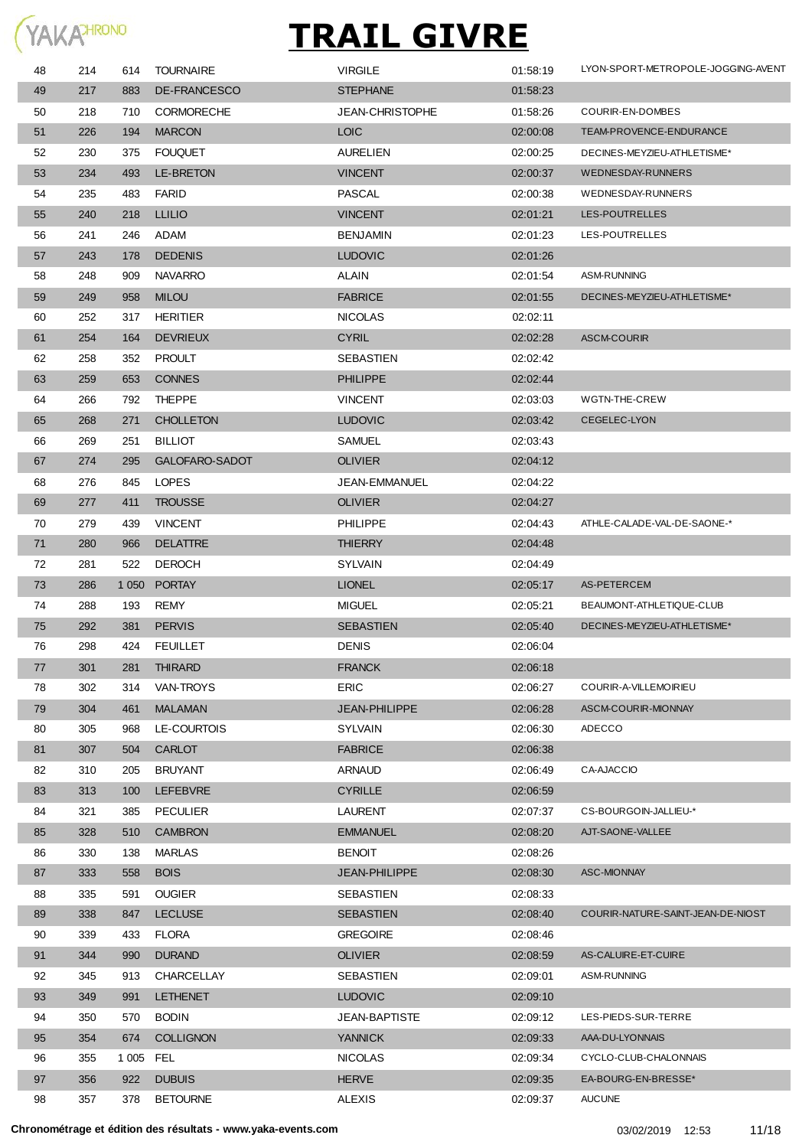

| 48 | 214 | 614       | <b>TOURNAIRE</b>  | <b>VIRGILE</b>         | 01:58:19 | LYON-SPORT-METROPOLE-JOGGING-AVENT |
|----|-----|-----------|-------------------|------------------------|----------|------------------------------------|
| 49 | 217 | 883       | DE-FRANCESCO      | <b>STEPHANE</b>        | 01:58:23 |                                    |
| 50 | 218 | 710       | <b>CORMORECHE</b> | <b>JEAN-CHRISTOPHE</b> | 01:58:26 | COURIR-EN-DOMBES                   |
| 51 | 226 | 194       | <b>MARCON</b>     | <b>LOIC</b>            | 02:00:08 | TEAM-PROVENCE-ENDURANCE            |
| 52 | 230 | 375       | <b>FOUQUET</b>    | <b>AURELIEN</b>        | 02:00:25 | DECINES-MEYZIEU-ATHLETISME*        |
| 53 | 234 | 493       | <b>LE-BRETON</b>  | <b>VINCENT</b>         | 02:00:37 | <b>WEDNESDAY-RUNNERS</b>           |
| 54 | 235 | 483       | <b>FARID</b>      | PASCAL                 | 02:00:38 | WEDNESDAY-RUNNERS                  |
| 55 | 240 | 218       | <b>LLILIO</b>     | <b>VINCENT</b>         | 02:01:21 | LES-POUTRELLES                     |
| 56 | 241 | 246       | ADAM              | <b>BENJAMIN</b>        | 02:01:23 | LES-POUTRELLES                     |
| 57 | 243 | 178       | <b>DEDENIS</b>    | <b>LUDOVIC</b>         | 02:01:26 |                                    |
| 58 | 248 | 909       | <b>NAVARRO</b>    | <b>ALAIN</b>           | 02:01:54 | ASM-RUNNING                        |
| 59 | 249 | 958       | <b>MILOU</b>      | <b>FABRICE</b>         | 02:01:55 | DECINES-MEYZIEU-ATHLETISME*        |
| 60 | 252 | 317       | HERITIER          | <b>NICOLAS</b>         | 02:02:11 |                                    |
| 61 | 254 | 164       | <b>DEVRIEUX</b>   | <b>CYRIL</b>           | 02:02:28 | <b>ASCM-COURIR</b>                 |
| 62 | 258 | 352       | <b>PROULT</b>     | SEBASTIEN              | 02:02:42 |                                    |
| 63 | 259 | 653       | <b>CONNES</b>     | <b>PHILIPPE</b>        | 02:02:44 |                                    |
| 64 | 266 | 792       | <b>THEPPE</b>     | <b>VINCENT</b>         | 02:03:03 | WGTN-THE-CREW                      |
| 65 | 268 | 271       | <b>CHOLLETON</b>  | <b>LUDOVIC</b>         | 02:03:42 | CEGELEC-LYON                       |
| 66 | 269 | 251       | <b>BILLIOT</b>    | <b>SAMUEL</b>          | 02:03:43 |                                    |
| 67 | 274 | 295       | GALOFARO-SADOT    | <b>OLIVIER</b>         | 02:04:12 |                                    |
| 68 | 276 | 845       | <b>LOPES</b>      | JEAN-EMMANUEL          | 02:04:22 |                                    |
| 69 | 277 | 411       | <b>TROUSSE</b>    | <b>OLIVIER</b>         | 02:04:27 |                                    |
| 70 | 279 | 439       | <b>VINCENT</b>    | PHILIPPE               | 02:04:43 | ATHLE-CALADE-VAL-DE-SAONE-*        |
| 71 | 280 | 966       | <b>DELATTRE</b>   | <b>THIERRY</b>         | 02:04:48 |                                    |
| 72 | 281 | 522       | <b>DEROCH</b>     | <b>SYLVAIN</b>         | 02:04:49 |                                    |
| 73 | 286 |           | 1050 PORTAY       | <b>LIONEL</b>          | 02:05:17 | AS-PETERCEM                        |
| 74 | 288 | 193       | REMY              | <b>MIGUEL</b>          | 02:05:21 | BEAUMONT-ATHLETIQUE-CLUB           |
| 75 | 292 | 381       | <b>PERVIS</b>     | <b>SEBASTIEN</b>       | 02:05:40 | DECINES-MEYZIEU-ATHLETISME*        |
| 76 | 298 | 424       | <b>FEUILLET</b>   | <b>DENIS</b>           | 02:06:04 |                                    |
| 77 | 301 | 281       | <b>THIRARD</b>    | <b>FRANCK</b>          | 02:06:18 |                                    |
| 78 | 302 | 314       | VAN-TROYS         | <b>ERIC</b>            | 02:06:27 | COURIR-A-VILLEMOIRIEU              |
| 79 | 304 | 461       | <b>MALAMAN</b>    | <b>JEAN-PHILIPPE</b>   | 02:06:28 | ASCM-COURIR-MIONNAY                |
| 80 | 305 | 968       | LE-COURTOIS       | <b>SYLVAIN</b>         | 02:06:30 | ADECCO                             |
| 81 | 307 | 504       | <b>CARLOT</b>     | <b>FABRICE</b>         | 02:06:38 |                                    |
| 82 | 310 | 205       | <b>BRUYANT</b>    | ARNAUD                 | 02:06:49 | CA-AJACCIO                         |
| 83 | 313 | 100       | <b>LEFEBVRE</b>   | <b>CYRILLE</b>         | 02:06:59 |                                    |
| 84 | 321 | 385       | PECULIER          | LAURENT                | 02:07:37 | CS-BOURGOIN-JALLIEU-*              |
| 85 | 328 | 510       | <b>CAMBRON</b>    | <b>EMMANUEL</b>        | 02:08:20 | AJT-SAONE-VALLEE                   |
| 86 | 330 | 138       | MARLAS            | <b>BENOIT</b>          | 02:08:26 |                                    |
| 87 | 333 | 558       | <b>BOIS</b>       | <b>JEAN-PHILIPPE</b>   | 02:08:30 | ASC-MIONNAY                        |
| 88 | 335 | 591       | <b>OUGIER</b>     | SEBASTIEN              | 02:08:33 |                                    |
| 89 | 338 | 847       | <b>LECLUSE</b>    | <b>SEBASTIEN</b>       | 02:08:40 | COURIR-NATURE-SAINT-JEAN-DE-NIOST  |
| 90 | 339 | 433       | FLORA             | <b>GREGOIRE</b>        | 02:08:46 |                                    |
| 91 | 344 | 990       | <b>DURAND</b>     | <b>OLIVIER</b>         | 02:08:59 | AS-CALUIRE-ET-CUIRE                |
| 92 | 345 | 913       | CHARCELLAY        | SEBASTIEN              | 02:09:01 | ASM-RUNNING                        |
| 93 | 349 | 991       | <b>LETHENET</b>   | <b>LUDOVIC</b>         | 02:09:10 |                                    |
| 94 | 350 | 570       | <b>BODIN</b>      | <b>JEAN-BAPTISTE</b>   | 02:09:12 | LES-PIEDS-SUR-TERRE                |
| 95 | 354 | 674       | <b>COLLIGNON</b>  | <b>YANNICK</b>         | 02:09:33 | AAA-DU-LYONNAIS                    |
| 96 | 355 | 1 005 FEL |                   | <b>NICOLAS</b>         | 02:09:34 | CYCLO-CLUB-CHALONNAIS              |
| 97 | 356 | 922       | <b>DUBUIS</b>     | <b>HERVE</b>           | 02:09:35 | EA-BOURG-EN-BRESSE*                |
| 98 | 357 | 378       | <b>BETOURNE</b>   | <b>ALEXIS</b>          | 02:09:37 | <b>AUCUNE</b>                      |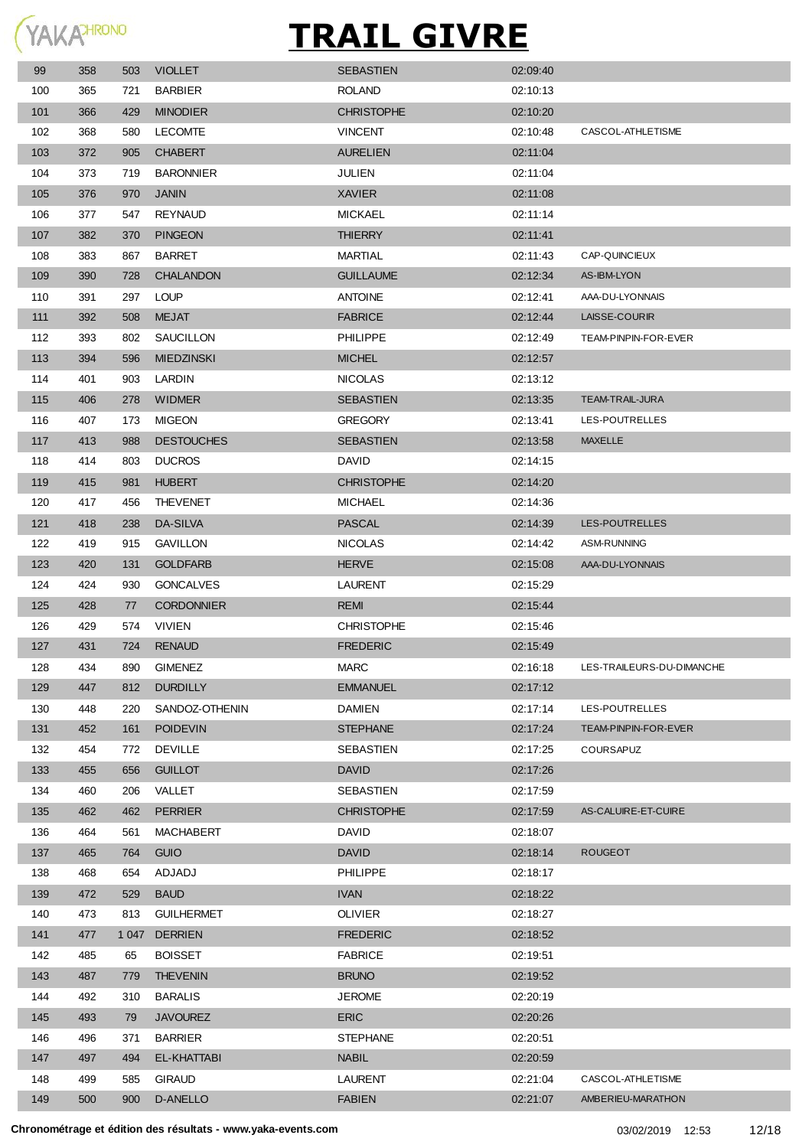

| 99  | 358 | 503 | <b>VIOLLET</b>    | <b>SEBASTIEN</b>  | 02:09:40 |                           |
|-----|-----|-----|-------------------|-------------------|----------|---------------------------|
| 100 | 365 | 721 | <b>BARBIER</b>    | ROLAND            | 02:10:13 |                           |
| 101 | 366 | 429 | <b>MINODIER</b>   | <b>CHRISTOPHE</b> | 02:10:20 |                           |
| 102 | 368 | 580 | <b>LECOMTE</b>    | <b>VINCENT</b>    | 02:10:48 | CASCOL-ATHLETISME         |
| 103 | 372 | 905 | <b>CHABERT</b>    | <b>AURELIEN</b>   | 02:11:04 |                           |
| 104 | 373 | 719 | <b>BARONNIER</b>  | <b>JULIEN</b>     | 02:11:04 |                           |
| 105 | 376 | 970 | <b>JANIN</b>      | <b>XAVIER</b>     | 02:11:08 |                           |
| 106 | 377 | 547 | <b>REYNAUD</b>    | <b>MICKAEL</b>    | 02:11:14 |                           |
| 107 | 382 | 370 | <b>PINGEON</b>    | <b>THIERRY</b>    | 02:11:41 |                           |
| 108 | 383 | 867 | <b>BARRET</b>     | MARTIAL           | 02:11:43 | CAP-QUINCIEUX             |
| 109 | 390 | 728 | <b>CHALANDON</b>  | <b>GUILLAUME</b>  | 02:12:34 | AS-IBM-LYON               |
| 110 | 391 | 297 | <b>LOUP</b>       | <b>ANTOINE</b>    | 02:12:41 | AAA-DU-LYONNAIS           |
| 111 | 392 | 508 | <b>MEJAT</b>      | <b>FABRICE</b>    | 02:12:44 | LAISSE-COURIR             |
| 112 | 393 | 802 | SAUCILLON         | <b>PHILIPPE</b>   | 02:12:49 | TEAM-PINPIN-FOR-EVER      |
| 113 | 394 | 596 | <b>MIEDZINSKI</b> | <b>MICHEL</b>     | 02:12:57 |                           |
| 114 | 401 | 903 | LARDIN            | <b>NICOLAS</b>    | 02:13:12 |                           |
| 115 | 406 | 278 | <b>WIDMER</b>     | <b>SEBASTIEN</b>  | 02:13:35 | TEAM-TRAIL-JURA           |
| 116 | 407 | 173 | <b>MIGEON</b>     | <b>GREGORY</b>    | 02:13:41 | LES-POUTRELLES            |
| 117 | 413 | 988 | <b>DESTOUCHES</b> | <b>SEBASTIEN</b>  | 02:13:58 | <b>MAXELLE</b>            |
| 118 | 414 | 803 | <b>DUCROS</b>     | <b>DAVID</b>      | 02:14:15 |                           |
| 119 | 415 | 981 | <b>HUBERT</b>     | <b>CHRISTOPHE</b> | 02:14:20 |                           |
| 120 | 417 | 456 | <b>THEVENET</b>   | <b>MICHAEL</b>    | 02:14:36 |                           |
| 121 | 418 | 238 | DA-SILVA          | <b>PASCAL</b>     | 02:14:39 | LES-POUTRELLES            |
| 122 | 419 | 915 | <b>GAVILLON</b>   | <b>NICOLAS</b>    | 02:14:42 | <b>ASM-RUNNING</b>        |
| 123 | 420 | 131 | <b>GOLDFARB</b>   | <b>HERVE</b>      | 02:15:08 | AAA-DU-LYONNAIS           |
| 124 | 424 | 930 | <b>GONCALVES</b>  | <b>LAURENT</b>    | 02:15:29 |                           |
| 125 | 428 | 77  | <b>CORDONNIER</b> | <b>REMI</b>       | 02:15:44 |                           |
| 126 | 429 | 574 | VIVIEN            | <b>CHRISTOPHE</b> | 02:15:46 |                           |
| 127 | 431 | 724 | <b>RENAUD</b>     | <b>FREDERIC</b>   | 02:15:49 |                           |
| 128 | 434 | 890 | <b>GIMENEZ</b>    | <b>MARC</b>       | 02:16:18 | LES-TRAILEURS-DU-DIMANCHE |
| 129 | 447 | 812 | <b>DURDILLY</b>   | <b>EMMANUEL</b>   | 02:17:12 |                           |
| 130 | 448 | 220 | SANDOZ-OTHENIN    | <b>DAMIEN</b>     | 02:17:14 | LES-POUTRELLES            |
| 131 | 452 | 161 | <b>POIDEVIN</b>   | <b>STEPHANE</b>   | 02:17:24 | TEAM-PINPIN-FOR-EVER      |
| 132 | 454 | 772 | <b>DEVILLE</b>    | <b>SEBASTIEN</b>  | 02:17:25 | COURSAPUZ                 |
| 133 | 455 | 656 | <b>GUILLOT</b>    | <b>DAVID</b>      | 02:17:26 |                           |
| 134 | 460 | 206 | VALLET            | SEBASTIEN         | 02:17:59 |                           |
| 135 | 462 | 462 | <b>PERRIER</b>    | <b>CHRISTOPHE</b> | 02:17:59 | AS-CALUIRE-ET-CUIRE       |
| 136 | 464 | 561 | MACHABERT         | <b>DAVID</b>      | 02:18:07 |                           |
| 137 | 465 | 764 | <b>GUIO</b>       | <b>DAVID</b>      | 02:18:14 | <b>ROUGEOT</b>            |
| 138 | 468 | 654 | ADJADJ            | <b>PHILIPPE</b>   | 02:18:17 |                           |
| 139 | 472 | 529 | <b>BAUD</b>       | <b>IVAN</b>       | 02:18:22 |                           |
| 140 | 473 | 813 | <b>GUILHERMET</b> | <b>OLIVIER</b>    | 02:18:27 |                           |
| 141 | 477 |     | 1047 DERRIEN      | <b>FREDERIC</b>   | 02:18:52 |                           |
| 142 | 485 | 65  | <b>BOISSET</b>    | <b>FABRICE</b>    | 02:19:51 |                           |
| 143 | 487 | 779 | <b>THEVENIN</b>   | <b>BRUNO</b>      | 02:19:52 |                           |
| 144 | 492 | 310 | <b>BARALIS</b>    | <b>JEROME</b>     | 02:20:19 |                           |
| 145 | 493 | 79  | <b>JAVOUREZ</b>   | <b>ERIC</b>       | 02:20:26 |                           |
| 146 | 496 | 371 | <b>BARRIER</b>    | <b>STEPHANE</b>   | 02:20:51 |                           |
| 147 | 497 | 494 | EL-KHATTABI       | <b>NABIL</b>      | 02:20:59 |                           |
| 148 | 499 | 585 | <b>GIRAUD</b>     | <b>LAURENT</b>    | 02:21:04 | CASCOL-ATHLETISME         |
| 149 | 500 | 900 | <b>D-ANELLO</b>   | <b>FABIEN</b>     | 02:21:07 | AMBERIEU-MARATHON         |
|     |     |     |                   |                   |          |                           |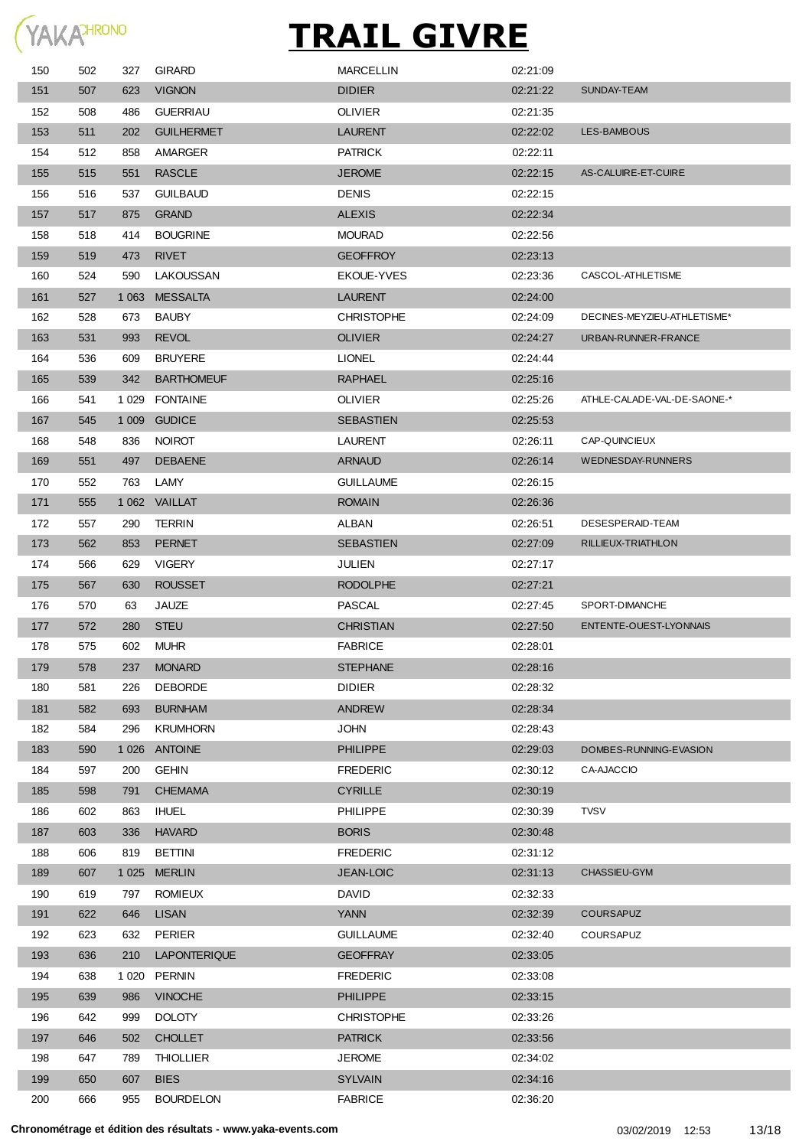

| 150 | 502 | 327     | <b>GIRARD</b>       | <b>MARCELLIN</b>  | 02:21:09 |                             |
|-----|-----|---------|---------------------|-------------------|----------|-----------------------------|
| 151 | 507 | 623     | <b>VIGNON</b>       | <b>DIDIER</b>     | 02:21:22 | SUNDAY-TEAM                 |
| 152 | 508 | 486     | <b>GUERRIAU</b>     | <b>OLIVIER</b>    | 02:21:35 |                             |
| 153 | 511 | 202     | <b>GUILHERMET</b>   | LAURENT           | 02:22:02 | LES-BAMBOUS                 |
| 154 | 512 | 858     | AMARGER             | <b>PATRICK</b>    | 02:22:11 |                             |
| 155 | 515 | 551     | <b>RASCLE</b>       | <b>JEROME</b>     | 02:22:15 | AS-CALUIRE-ET-CUIRE         |
| 156 | 516 | 537     | <b>GUILBAUD</b>     | <b>DENIS</b>      | 02:22:15 |                             |
| 157 | 517 | 875     | <b>GRAND</b>        | <b>ALEXIS</b>     | 02:22:34 |                             |
| 158 | 518 | 414     | <b>BOUGRINE</b>     | <b>MOURAD</b>     | 02:22:56 |                             |
| 159 | 519 | 473     | <b>RIVET</b>        | <b>GEOFFROY</b>   | 02:23:13 |                             |
| 160 | 524 | 590     | LAKOUSSAN           | <b>EKOUE-YVES</b> | 02:23:36 | CASCOL-ATHLETISME           |
| 161 | 527 | 1 0 6 3 | <b>MESSALTA</b>     | <b>LAURENT</b>    | 02:24:00 |                             |
| 162 | 528 | 673     | <b>BAUBY</b>        | <b>CHRISTOPHE</b> | 02:24:09 | DECINES-MEYZIEU-ATHLETISME* |
| 163 | 531 | 993     | <b>REVOL</b>        | <b>OLIVIER</b>    | 02:24:27 | URBAN-RUNNER-FRANCE         |
| 164 | 536 | 609     | <b>BRUYERE</b>      | <b>LIONEL</b>     | 02:24:44 |                             |
|     |     |         |                     |                   |          |                             |
| 165 | 539 | 342     | <b>BARTHOMEUF</b>   | <b>RAPHAEL</b>    | 02.25.16 | ATHLE-CALADE-VAL-DE-SAONE-* |
| 166 | 541 | 1 0 2 9 | <b>FONTAINE</b>     | <b>OLIVIER</b>    | 02:25:26 |                             |
| 167 | 545 | 1 0 0 9 | <b>GUDICE</b>       | <b>SEBASTIEN</b>  | 02:25:53 |                             |
| 168 | 548 | 836     | <b>NOIROT</b>       | <b>LAURENT</b>    | 02:26:11 | CAP-QUINCIEUX               |
| 169 | 551 | 497     | <b>DEBAENE</b>      | <b>ARNAUD</b>     | 02:26:14 | <b>WEDNESDAY-RUNNERS</b>    |
| 170 | 552 | 763     | LAMY                | <b>GUILLAUME</b>  | 02:26:15 |                             |
| 171 | 555 |         | 1 062 VAILLAT       | <b>ROMAIN</b>     | 02:26:36 |                             |
| 172 | 557 | 290     | <b>TERRIN</b>       | ALBAN             | 02:26:51 | DESESPERAID-TEAM            |
| 173 | 562 | 853     | <b>PERNET</b>       | <b>SEBASTIEN</b>  | 02:27:09 | RILLIEUX-TRIATHLON          |
| 174 | 566 | 629     | <b>VIGERY</b>       | JULIEN            | 02:27:17 |                             |
| 175 | 567 | 630     | <b>ROUSSET</b>      | <b>RODOLPHE</b>   | 02:27:21 |                             |
| 176 | 570 | 63      | JAUZE               | <b>PASCAL</b>     | 02:27:45 | SPORT-DIMANCHE              |
| 177 | 572 | 280     | <b>STEU</b>         | <b>CHRISTIAN</b>  | 02:27:50 | ENTENTE-OUEST-LYONNAIS      |
| 178 | 575 | 602     | <b>MUHR</b>         | <b>FABRICE</b>    | 02:28:01 |                             |
| 179 | 578 | 237     | <b>MONARD</b>       | <b>STEPHANE</b>   | 02:28:16 |                             |
| 180 | 581 | 226     | DEBORDE             | <b>DIDIER</b>     | 02:28:32 |                             |
| 181 | 582 | 693     | <b>BURNHAM</b>      | <b>ANDREW</b>     | 02:28:34 |                             |
| 182 | 584 | 296     | KRUMHORN            | <b>JOHN</b>       | 02:28:43 |                             |
| 183 | 590 | 1 0 2 6 | <b>ANTOINE</b>      | <b>PHILIPPE</b>   | 02:29:03 | DOMBES-RUNNING-EVASION      |
| 184 | 597 | 200     | <b>GEHIN</b>        | <b>FREDERIC</b>   | 02:30:12 | CA-AJACCIO                  |
| 185 | 598 | 791     | <b>CHEMAMA</b>      | <b>CYRILLE</b>    | 02:30:19 |                             |
| 186 | 602 | 863     | <b>IHUEL</b>        | <b>PHILIPPE</b>   | 02:30:39 | <b>TVSV</b>                 |
| 187 | 603 | 336     | <b>HAVARD</b>       | <b>BORIS</b>      | 02:30:48 |                             |
| 188 | 606 | 819     | <b>BETTINI</b>      | <b>FREDERIC</b>   | 02:31:12 |                             |
| 189 | 607 | 1 0 2 5 | <b>MERLIN</b>       | JEAN-LOIC         | 02:31:13 | CHASSIEU-GYM                |
| 190 | 619 | 797     | <b>ROMIEUX</b>      | <b>DAVID</b>      | 02:32:33 |                             |
| 191 | 622 | 646     | <b>LISAN</b>        | <b>YANN</b>       | 02:32:39 | <b>COURSAPUZ</b>            |
| 192 | 623 | 632     | <b>PERIER</b>       | <b>GUILLAUME</b>  | 02:32:40 | COURSAPUZ                   |
|     |     |         |                     |                   |          |                             |
| 193 | 636 | 210     | <b>LAPONTERIQUE</b> | <b>GEOFFRAY</b>   | 02:33:05 |                             |
| 194 | 638 | 1 0 2 0 | <b>PERNIN</b>       | <b>FREDERIC</b>   | 02:33:08 |                             |
| 195 | 639 | 986     | <b>VINOCHE</b>      | <b>PHILIPPE</b>   | 02:33:15 |                             |
| 196 | 642 | 999     | <b>DOLOTY</b>       | <b>CHRISTOPHE</b> | 02:33:26 |                             |
| 197 | 646 | 502     | <b>CHOLLET</b>      | <b>PATRICK</b>    | 02:33:56 |                             |
| 198 | 647 | 789     | <b>THIOLLIER</b>    | <b>JEROME</b>     | 02:34:02 |                             |
| 199 | 650 | 607     | <b>BIES</b>         | <b>SYLVAIN</b>    | 02:34:16 |                             |
| 200 | 666 | 955     | <b>BOURDELON</b>    | <b>FABRICE</b>    | 02:36:20 |                             |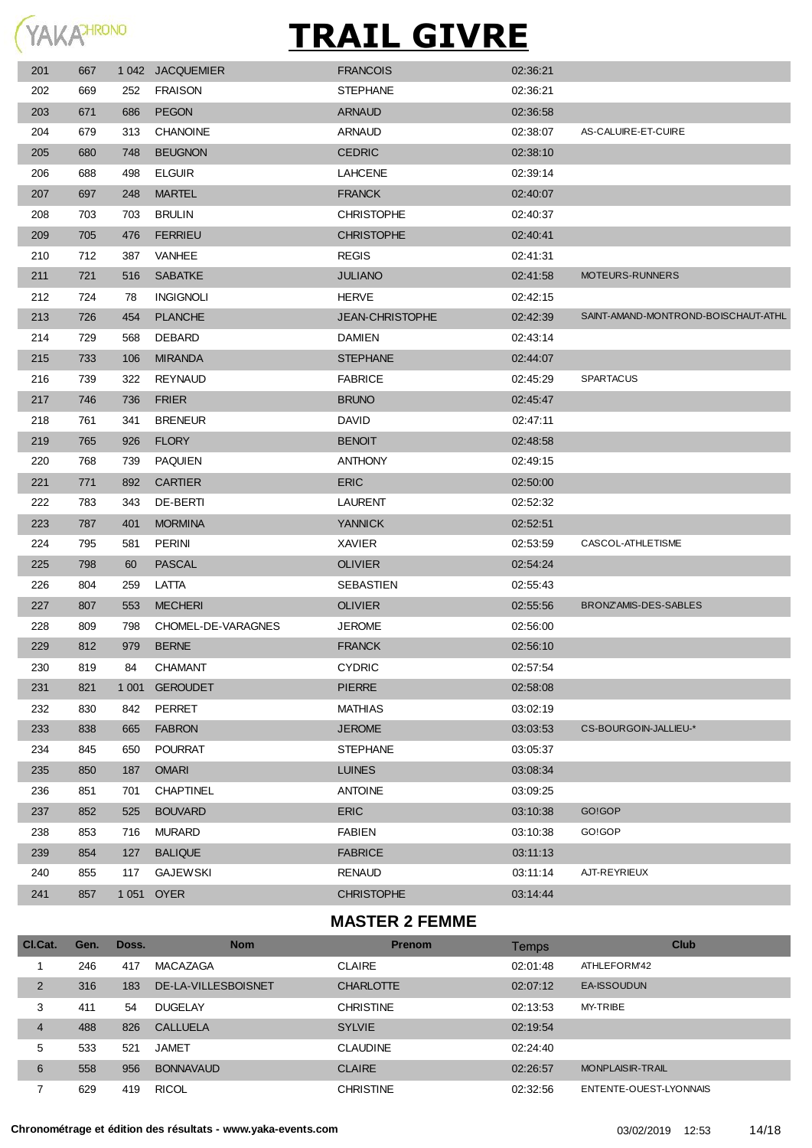

| 201 | 667 |         | 1042 JACQUEMIER    | <b>FRANCOIS</b>   | 02:36:21 |                                     |
|-----|-----|---------|--------------------|-------------------|----------|-------------------------------------|
| 202 | 669 | 252     | <b>FRAISON</b>     | <b>STEPHANE</b>   | 02:36:21 |                                     |
| 203 | 671 | 686     | <b>PEGON</b>       | <b>ARNAUD</b>     | 02:36:58 |                                     |
| 204 | 679 | 313     | <b>CHANOINE</b>    | ARNAUD            | 02:38:07 | AS-CALUIRE-ET-CUIRE                 |
| 205 | 680 | 748     | <b>BEUGNON</b>     | <b>CEDRIC</b>     | 02.38:10 |                                     |
| 206 | 688 | 498     | <b>ELGUIR</b>      | <b>LAHCENE</b>    | 02:39:14 |                                     |
| 207 | 697 | 248     | <b>MARTEL</b>      | <b>FRANCK</b>     | 02:40:07 |                                     |
| 208 | 703 | 703     | <b>BRULIN</b>      | <b>CHRISTOPHE</b> | 02:40:37 |                                     |
| 209 | 705 | 476     | <b>FERRIEU</b>     | <b>CHRISTOPHE</b> | 02:40:41 |                                     |
| 210 | 712 | 387     | <b>VANHEE</b>      | <b>REGIS</b>      | 02:41:31 |                                     |
| 211 | 721 | 516     | <b>SABATKE</b>     | <b>JULIANO</b>    | 02:41:58 | MOTEURS-RUNNERS                     |
| 212 | 724 | 78      | <b>INGIGNOLI</b>   | <b>HERVE</b>      | 02:42:15 |                                     |
| 213 | 726 | 454     | <b>PLANCHE</b>     | JEAN-CHRISTOPHE   | 02:42:39 | SAINT-AMAND-MONTROND-BOISCHAUT-ATHL |
| 214 | 729 | 568     | DEBARD             | <b>DAMIEN</b>     | 02:43:14 |                                     |
| 215 | 733 | 106     | <b>MIRANDA</b>     | <b>STEPHANE</b>   | 02:44:07 |                                     |
| 216 | 739 | 322     | <b>REYNAUD</b>     | <b>FABRICE</b>    | 02:45:29 | <b>SPARTACUS</b>                    |
| 217 | 746 | 736     | <b>FRIER</b>       | <b>BRUNO</b>      | 02:45:47 |                                     |
| 218 | 761 | 341     | <b>BRENEUR</b>     | DAVID             | 02:47:11 |                                     |
| 219 | 765 | 926     | <b>FLORY</b>       | <b>BENOIT</b>     | 02:48:58 |                                     |
| 220 | 768 | 739     | <b>PAQUIEN</b>     | <b>ANTHONY</b>    | 02:49:15 |                                     |
| 221 | 771 | 892     | <b>CARTIER</b>     | <b>ERIC</b>       | 02:50:00 |                                     |
| 222 | 783 | 343     | DE-BERTI           | <b>LAURENT</b>    | 02:52:32 |                                     |
| 223 | 787 | 401     | <b>MORMINA</b>     | <b>YANNICK</b>    | 02:52:51 |                                     |
| 224 | 795 | 581     | <b>PERINI</b>      | XAVIER            | 02:53:59 | CASCOL-ATHLETISME                   |
| 225 | 798 | 60      | <b>PASCAL</b>      | <b>OLIVIER</b>    | 02:54:24 |                                     |
| 226 | 804 | 259     | LATTA              | SEBASTIEN         | 02:55:43 |                                     |
| 227 | 807 | 553     | <b>MECHERI</b>     | <b>OLIVIER</b>    | 02:55:56 | BRONZ'AMIS-DES-SABLES               |
| 228 | 809 | 798     | CHOMEL-DE-VARAGNES | <b>JEROME</b>     | 02:56:00 |                                     |
| 229 | 812 | 979     | <b>BERNE</b>       | <b>FRANCK</b>     | 02:56:10 |                                     |
| 230 | 819 | 84      | <b>CHAMANT</b>     | <b>CYDRIC</b>     | 02:57:54 |                                     |
| 231 | 821 | 1 0 0 1 | <b>GEROUDET</b>    | <b>PIERRE</b>     | 02:58:08 |                                     |
| 232 | 830 | 842     | PERRET             | MATHIAS           | 03:02:19 |                                     |
| 233 | 838 | 665     | <b>FABRON</b>      | <b>JEROME</b>     | 03:03:53 | CS-BOURGOIN-JALLIEU-*               |
| 234 | 845 | 650     | <b>POURRAT</b>     | <b>STEPHANE</b>   | 03:05:37 |                                     |
| 235 | 850 | 187     | <b>OMARI</b>       | <b>LUINES</b>     | 03:08:34 |                                     |
| 236 | 851 | 701     | CHAPTINEL          | <b>ANTOINE</b>    | 03:09:25 |                                     |
| 237 | 852 | 525     | <b>BOUVARD</b>     | <b>ERIC</b>       | 03:10:38 | GO!GOP                              |
| 238 | 853 | 716     | <b>MURARD</b>      | <b>FABIEN</b>     | 03:10:38 | GO!GOP                              |
| 239 | 854 | 127     | <b>BALIQUE</b>     | <b>FABRICE</b>    | 03:11:13 |                                     |
| 240 | 855 | 117     | <b>GAJEWSKI</b>    | <b>RENAUD</b>     | 03:11:14 | AJT-REYRIEUX                        |
| 241 | 857 | 1 0 5 1 | <b>OYER</b>        | <b>CHRISTOPHE</b> | 03:14:44 |                                     |

#### **MASTER 2 FEMME**

| CI.Cat.        | Gen. | Doss. | <b>Nom</b>          | <b>Prenom</b>    | Temps    | <b>Club</b>             |
|----------------|------|-------|---------------------|------------------|----------|-------------------------|
|                | 246  | 417   | <b>MACAZAGA</b>     | <b>CLAIRE</b>    | 02:01:48 | ATHLEFORM42             |
| $\overline{2}$ | 316  | 183   | DE-LA-VILLESBOISNET | <b>CHARLOTTE</b> | 02:07:12 | <b>EA-ISSOUDUN</b>      |
| 3              | 411  | 54    | <b>DUGELAY</b>      | <b>CHRISTINE</b> | 02:13:53 | <b>MY-TRIBE</b>         |
| $\overline{4}$ | 488  | 826   | CALLUELA            | <b>SYLVIE</b>    | 02:19:54 |                         |
| 5              | 533  | 521   | <b>JAMET</b>        | <b>CLAUDINE</b>  | 02:24:40 |                         |
| 6              | 558  | 956   | <b>BONNAVAUD</b>    | <b>CLAIRE</b>    | 02:26:57 | <b>MONPLAISIR-TRAIL</b> |
|                | 629  | 419   | <b>RICOL</b>        | <b>CHRISTINE</b> | 02:32:56 | ENTENTE-OUEST-LYONNAIS  |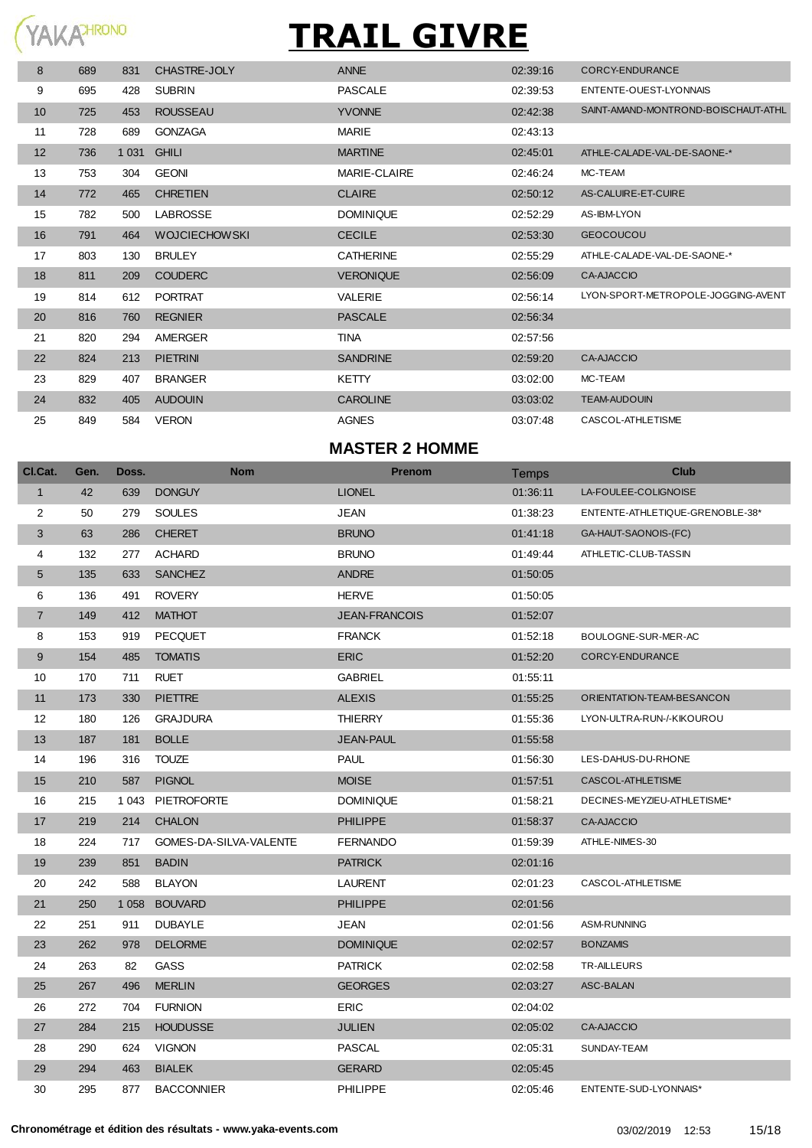#### YAKAHRONO

# **TRAIL GIVRE**

| 8  | 689 | 831     | CHASTRE-JOLY         | <b>ANNE</b>      | 02:39:16 | <b>CORCY-ENDURANCE</b>              |
|----|-----|---------|----------------------|------------------|----------|-------------------------------------|
| 9  | 695 | 428     | <b>SUBRIN</b>        | <b>PASCALE</b>   | 02:39:53 | ENTENTE-OUEST-LYONNAIS              |
| 10 | 725 | 453     | <b>ROUSSEAU</b>      | <b>YVONNE</b>    | 02:42:38 | SAINT-AMAND-MONTROND-BOISCHAUT-ATHL |
| 11 | 728 | 689     | <b>GONZAGA</b>       | <b>MARIE</b>     | 02:43:13 |                                     |
| 12 | 736 | 1 0 3 1 | <b>GHILI</b>         | <b>MARTINE</b>   | 02:45:01 | ATHLE-CALADE-VAL-DE-SAONE-*         |
| 13 | 753 | 304     | <b>GEONI</b>         | MARIE-CLAIRE     | 02:46:24 | MC-TEAM                             |
| 14 | 772 | 465     | <b>CHRETIEN</b>      | <b>CLAIRE</b>    | 02:50:12 | AS-CALUIRE-ET-CUIRE                 |
| 15 | 782 | 500     | <b>LABROSSE</b>      | <b>DOMINIQUE</b> | 02:52:29 | AS-IBM-LYON                         |
| 16 | 791 | 464     | <b>WOJCIECHOWSKI</b> | <b>CECILE</b>    | 02:53:30 | <b>GEOCOUCOU</b>                    |
| 17 | 803 | 130     | <b>BRULEY</b>        | <b>CATHERINE</b> | 02:55:29 | ATHLE-CALADE-VAL-DE-SAONE-*         |
| 18 | 811 | 209     | <b>COUDERC</b>       | <b>VERONIQUE</b> | 02:56:09 | <b>CA-AJACCIO</b>                   |
| 19 | 814 | 612     | <b>PORTRAT</b>       | <b>VALERIE</b>   | 02:56:14 | LYON-SPORT-METROPOLE-JOGGING-AVENT  |
| 20 | 816 | 760     | <b>REGNIER</b>       | <b>PASCALE</b>   | 02:56:34 |                                     |
| 21 | 820 | 294     | AMERGER              | <b>TINA</b>      | 02:57:56 |                                     |
| 22 | 824 | 213     | <b>PIETRINI</b>      | <b>SANDRINE</b>  | 02:59:20 | <b>CA-AJACCIO</b>                   |
| 23 | 829 | 407     | <b>BRANGER</b>       | <b>KETTY</b>     | 03:02:00 | MC-TEAM                             |
| 24 | 832 | 405     | <b>AUDOUIN</b>       | <b>CAROLINE</b>  | 03:03:02 | <b>TEAM-AUDOUIN</b>                 |
| 25 | 849 | 584     | <b>VERON</b>         | <b>AGNES</b>     | 03:07:48 | CASCOL-ATHLETISME                   |
|    |     |         |                      |                  |          |                                     |

#### **MASTER 2 HOMME**

| CI.Cat.         | Gen. | Doss.   | <b>Nom</b>             | Prenom               | <b>Temps</b> | <b>Club</b>                     |
|-----------------|------|---------|------------------------|----------------------|--------------|---------------------------------|
| 1               | 42   | 639     | <b>DONGUY</b>          | <b>LIONEL</b>        | 01:36:11     | LA-FOULEE-COLIGNOISE            |
| $\overline{2}$  | 50   | 279     | <b>SOULES</b>          | <b>JEAN</b>          | 01:38:23     | ENTENTE-ATHLETIQUE-GRENOBLE-38* |
| 3               | 63   | 286     | <b>CHERET</b>          | <b>BRUNO</b>         | 01:41:18     | GA-HAUT-SAONOIS-(FC)            |
| 4               | 132  | 277     | <b>ACHARD</b>          | <b>BRUNO</b>         | 01:49:44     | ATHLETIC-CLUB-TASSIN            |
| $5\phantom{.0}$ | 135  | 633     | <b>SANCHEZ</b>         | <b>ANDRE</b>         | 01:50:05     |                                 |
| 6               | 136  | 491     | <b>ROVERY</b>          | <b>HERVE</b>         | 01:50:05     |                                 |
| $\overline{7}$  | 149  | 412     | <b>MATHOT</b>          | <b>JEAN-FRANCOIS</b> | 01:52:07     |                                 |
| 8               | 153  | 919     | <b>PECQUET</b>         | <b>FRANCK</b>        | 01:52:18     | BOULOGNE-SUR-MER-AC             |
| $9\,$           | 154  | 485     | <b>TOMATIS</b>         | <b>ERIC</b>          | 01:52:20     | CORCY-ENDURANCE                 |
| 10              | 170  | 711     | <b>RUET</b>            | <b>GABRIEL</b>       | 01:55:11     |                                 |
| 11              | 173  | 330     | <b>PIETTRE</b>         | <b>ALEXIS</b>        | 01:55:25     | ORIENTATION-TEAM-BESANCON       |
| 12              | 180  | 126     | <b>GRAJDURA</b>        | <b>THIERRY</b>       | 01:55:36     | LYON-ULTRA-RUN-/-KIKOUROU       |
| 13              | 187  | 181     | <b>BOLLE</b>           | <b>JEAN-PAUL</b>     | 01:55:58     |                                 |
| 14              | 196  | 316     | <b>TOUZE</b>           | <b>PAUL</b>          | 01:56:30     | LES-DAHUS-DU-RHONE              |
| 15              | 210  | 587     | <b>PIGNOL</b>          | <b>MOISE</b>         | 01:57:51     | CASCOL-ATHLETISME               |
| 16              | 215  | 1 0 4 3 | <b>PIETROFORTE</b>     | <b>DOMINIQUE</b>     | 01:58:21     | DECINES-MEYZIEU-ATHLETISME*     |
| 17              | 219  | 214     | <b>CHALON</b>          | <b>PHILIPPE</b>      | 01:58:37     | <b>CA-AJACCIO</b>               |
| 18              | 224  | 717     | GOMES-DA-SILVA-VALENTE | <b>FERNANDO</b>      | 01:59:39     | ATHLE-NIMES-30                  |
| 19              | 239  | 851     | <b>BADIN</b>           | <b>PATRICK</b>       | 02:01:16     |                                 |
| 20              | 242  | 588     | <b>BLAYON</b>          | <b>LAURENT</b>       | 02:01:23     | CASCOL-ATHLETISME               |
| 21              | 250  | 1 0 5 8 | <b>BOUVARD</b>         | <b>PHILIPPE</b>      | 02:01:56     |                                 |
| 22              | 251  | 911     | <b>DUBAYLE</b>         | <b>JEAN</b>          | 02:01:56     | ASM-RUNNING                     |
| 23              | 262  | 978     | <b>DELORME</b>         | <b>DOMINIQUE</b>     | 02:02:57     | <b>BONZAMIS</b>                 |
| 24              | 263  | 82      | <b>GASS</b>            | <b>PATRICK</b>       | 02:02:58     | TR-AILLEURS                     |
| 25              | 267  | 496     | <b>MERLIN</b>          | <b>GEORGES</b>       | 02:03:27     | ASC-BALAN                       |
| 26              | 272  | 704     | <b>FURNION</b>         | <b>ERIC</b>          | 02:04:02     |                                 |
| 27              | 284  | 215     | <b>HOUDUSSE</b>        | <b>JULIEN</b>        | 02:05:02     | <b>CA-AJACCIO</b>               |
| 28              | 290  | 624     | <b>VIGNON</b>          | PASCAL               | 02:05:31     | SUNDAY-TEAM                     |
| 29              | 294  | 463     | <b>BIALEK</b>          | <b>GERARD</b>        | 02:05:45     |                                 |
| 30              | 295  | 877     | <b>BACCONNIER</b>      | <b>PHILIPPE</b>      | 02:05:46     | ENTENTE-SUD-LYONNAIS*           |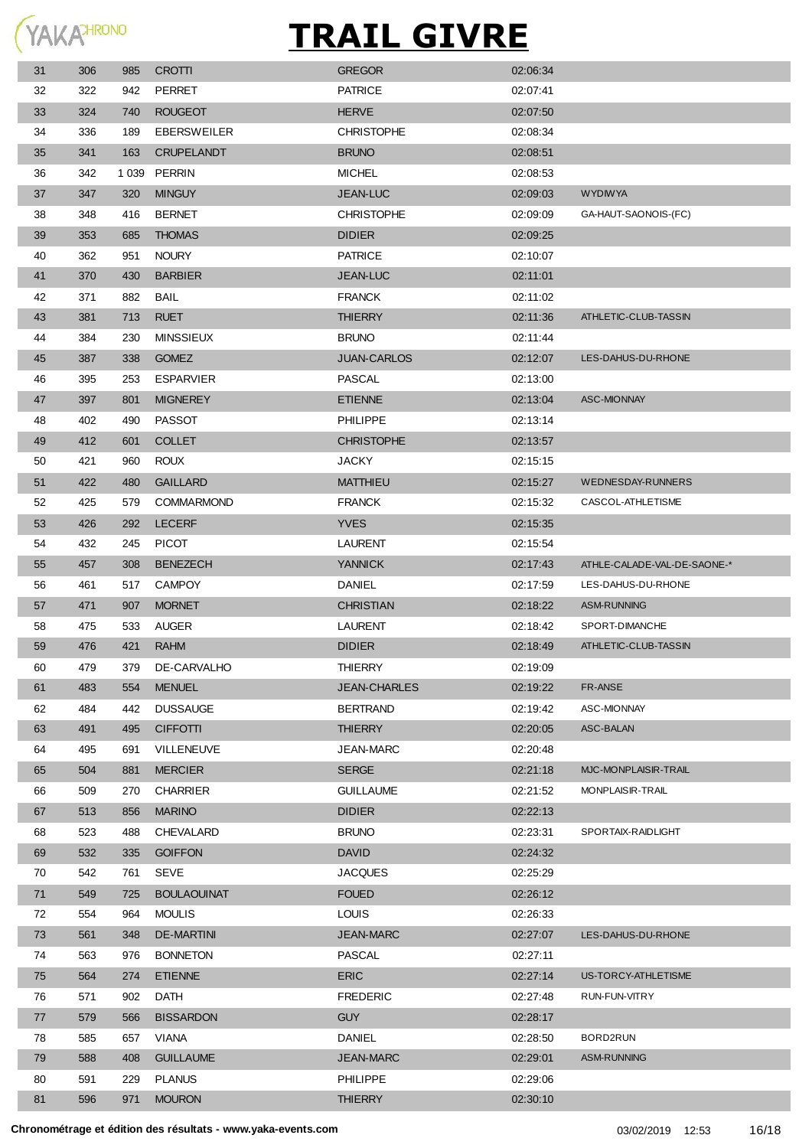

| 31 | 306 | 985     | <b>CROTTI</b>      | <b>GREGOR</b>       | 02:06:34 |                             |
|----|-----|---------|--------------------|---------------------|----------|-----------------------------|
| 32 | 322 | 942     | <b>PERRET</b>      | <b>PATRICE</b>      | 02:07:41 |                             |
| 33 | 324 | 740     | <b>ROUGEOT</b>     | <b>HERVE</b>        | 02:07:50 |                             |
| 34 | 336 | 189     | <b>EBERSWEILER</b> | <b>CHRISTOPHE</b>   | 02:08:34 |                             |
| 35 | 341 | 163     | <b>CRUPELANDT</b>  | <b>BRUNO</b>        | 02:08:51 |                             |
| 36 | 342 | 1 0 3 9 | PERRIN             | <b>MICHEL</b>       | 02:08:53 |                             |
| 37 | 347 | 320     | <b>MINGUY</b>      | <b>JEAN-LUC</b>     | 02:09:03 | <b>WYDIWYA</b>              |
| 38 | 348 | 416     | <b>BERNET</b>      | <b>CHRISTOPHE</b>   | 02:09:09 | GA-HAUT-SAONOIS-(FC)        |
| 39 | 353 | 685     | <b>THOMAS</b>      | <b>DIDIER</b>       | 02:09:25 |                             |
| 40 | 362 | 951     | <b>NOURY</b>       | <b>PATRICE</b>      | 02:10:07 |                             |
| 41 | 370 | 430     | <b>BARBIER</b>     | <b>JEAN-LUC</b>     | 02:11:01 |                             |
| 42 | 371 | 882     | <b>BAIL</b>        | <b>FRANCK</b>       | 02:11:02 |                             |
| 43 | 381 | 713     | <b>RUET</b>        | <b>THIERRY</b>      | 02:11:36 | ATHLETIC-CLUB-TASSIN        |
| 44 | 384 | 230     | <b>MINSSIEUX</b>   | <b>BRUNO</b>        | 02:11:44 |                             |
| 45 | 387 | 338     | <b>GOMEZ</b>       | <b>JUAN-CARLOS</b>  | 02:12:07 | LES-DAHUS-DU-RHONE          |
| 46 | 395 | 253     | <b>ESPARVIER</b>   | PASCAL              | 02:13:00 |                             |
| 47 | 397 | 801     | <b>MIGNEREY</b>    | <b>ETIENNE</b>      | 02:13:04 | <b>ASC-MIONNAY</b>          |
| 48 | 402 | 490     | <b>PASSOT</b>      | <b>PHILIPPE</b>     | 02:13:14 |                             |
| 49 | 412 | 601     | <b>COLLET</b>      | <b>CHRISTOPHE</b>   | 02:13:57 |                             |
| 50 | 421 | 960     | <b>ROUX</b>        | <b>JACKY</b>        | 02:15:15 |                             |
| 51 | 422 | 480     | <b>GAILLARD</b>    | <b>MATTHIEU</b>     | 02:15:27 | WEDNESDAY-RUNNERS           |
| 52 | 425 | 579     | <b>COMMARMOND</b>  | <b>FRANCK</b>       | 02:15:32 | CASCOL-ATHLETISME           |
| 53 | 426 | 292     | <b>LECERF</b>      | <b>YVES</b>         | 02:15:35 |                             |
| 54 | 432 | 245     | <b>PICOT</b>       | <b>LAURENT</b>      | 02:15:54 |                             |
| 55 | 457 | 308     | <b>BENEZECH</b>    | <b>YANNICK</b>      | 02:17:43 | ATHLE-CALADE-VAL-DE-SAONE-* |
| 56 | 461 | 517     | <b>CAMPOY</b>      | <b>DANIEL</b>       | 02:17:59 | LES-DAHUS-DU-RHONE          |
| 57 | 471 | 907     | <b>MORNET</b>      | <b>CHRISTIAN</b>    | 02:18:22 | <b>ASM-RUNNING</b>          |
| 58 | 475 | 533     | AUGER              | <b>LAURENT</b>      | 02:18:42 | SPORT-DIMANCHE              |
| 59 | 476 | 421     | <b>RAHM</b>        | <b>DIDIER</b>       | 02:18:49 | ATHLETIC-CLUB-TASSIN        |
| 60 | 479 | 379     | DE-CARVALHO        | <b>THIERRY</b>      | 02:19:09 |                             |
| 61 | 483 | 554     | <b>MENUEL</b>      | <b>JEAN-CHARLES</b> | 02:19:22 | FR-ANSE                     |
| 62 | 484 | 442     | <b>DUSSAUGE</b>    | <b>BERTRAND</b>     | 02:19:42 | ASC-MIONNAY                 |
| 63 | 491 | 495     | <b>CIFFOTTI</b>    | <b>THIERRY</b>      | 02:20:05 | ASC-BALAN                   |
| 64 | 495 | 691     | VILLENEUVE         | JEAN-MARC           | 02:20:48 |                             |
| 65 | 504 | 881     | <b>MERCIER</b>     | <b>SERGE</b>        | 02:21:18 | MJC-MONPLAISIR-TRAIL        |
| 66 | 509 | 270     | CHARRIER           | <b>GUILLAUME</b>    | 02:21:52 | MONPLAISIR-TRAIL            |
| 67 | 513 | 856     | <b>MARINO</b>      | <b>DIDIER</b>       | 02:22:13 |                             |
| 68 | 523 | 488     | CHEVALARD          | <b>BRUNO</b>        | 02:23:31 | SPORTAIX-RAIDLIGHT          |
| 69 | 532 | 335     | <b>GOIFFON</b>     | <b>DAVID</b>        | 02:24:32 |                             |
| 70 | 542 | 761     | <b>SEVE</b>        | <b>JACQUES</b>      | 02:25:29 |                             |
| 71 | 549 | 725     | <b>BOULAOUINAT</b> | <b>FOUED</b>        | 02:26:12 |                             |
| 72 | 554 | 964     | MOULIS             | <b>LOUIS</b>        | 02:26:33 |                             |
| 73 | 561 | 348     | <b>DE-MARTINI</b>  | <b>JEAN-MARC</b>    | 02:27:07 | LES-DAHUS-DU-RHONE          |
| 74 | 563 | 976     | <b>BONNETON</b>    | PASCAL              | 02:27:11 |                             |
| 75 | 564 | 274     | <b>ETIENNE</b>     | <b>ERIC</b>         | 02:27:14 | US-TORCY-ATHLETISME         |
| 76 | 571 | 902     | DATH               | <b>FREDERIC</b>     | 02:27:48 | RUN-FUN-VITRY               |
| 77 | 579 | 566     | <b>BISSARDON</b>   | <b>GUY</b>          | 02:28:17 |                             |
| 78 | 585 | 657     | VIANA              | DANIEL              | 02:28:50 | BORD2RUN                    |
| 79 | 588 | 408     | <b>GUILLAUME</b>   | <b>JEAN-MARC</b>    | 02:29:01 | ASM-RUNNING                 |
| 80 | 591 | 229     | <b>PLANUS</b>      | <b>PHILIPPE</b>     | 02:29:06 |                             |
| 81 | 596 | 971     | <b>MOURON</b>      | <b>THIERRY</b>      | 02:30:10 |                             |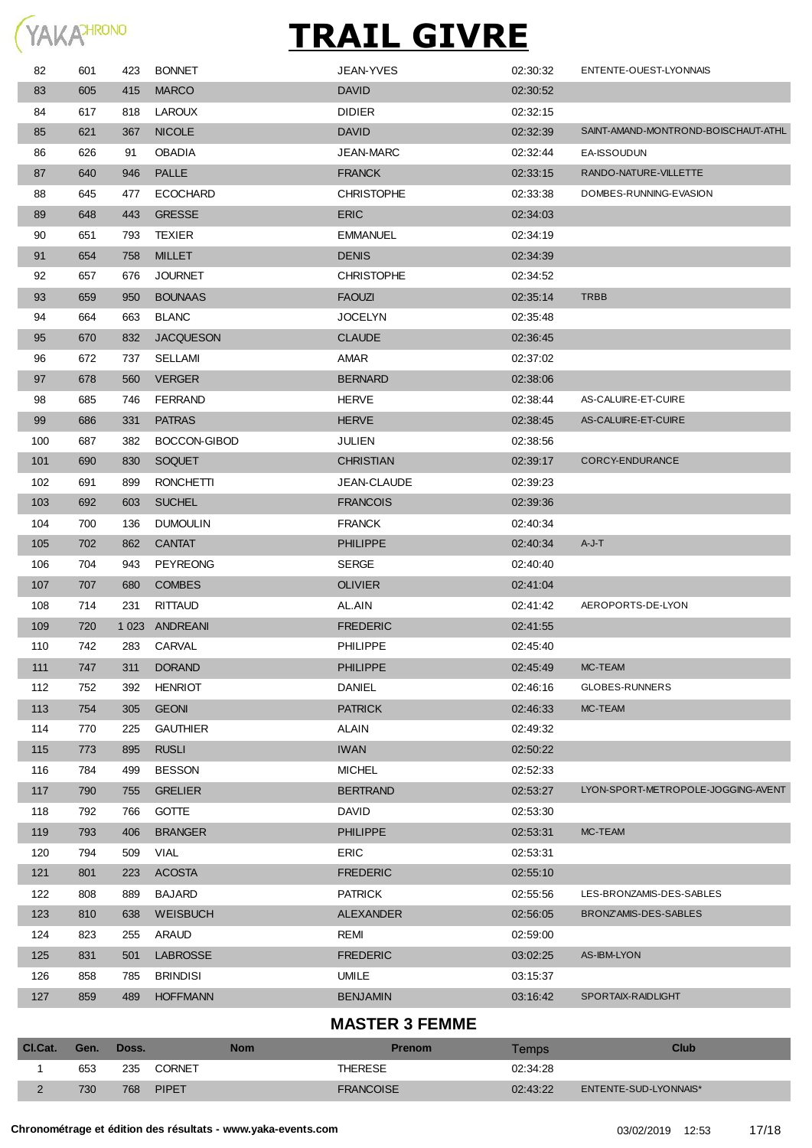

| 82             | 601  | 423   | <b>BONNET</b>    | JEAN-YVES             | 02:30:32 | ENTENTE-OUEST-LYONNAIS              |
|----------------|------|-------|------------------|-----------------------|----------|-------------------------------------|
| 83             | 605  | 415   | <b>MARCO</b>     | <b>DAVID</b>          | 02:30:52 |                                     |
| 84             | 617  | 818   | <b>LAROUX</b>    | <b>DIDIER</b>         | 02:32:15 |                                     |
| 85             | 621  | 367   | <b>NICOLE</b>    | <b>DAVID</b>          | 02:32:39 | SAINT-AMAND-MONTROND-BOISCHAUT-ATHL |
| 86             | 626  | 91    | <b>OBADIA</b>    | <b>JEAN-MARC</b>      | 02:32:44 | <b>EA-ISSOUDUN</b>                  |
| 87             | 640  | 946   | <b>PALLE</b>     | <b>FRANCK</b>         | 02:33:15 | RANDO-NATURE-VILLETTE               |
| 88             | 645  | 477   | <b>ECOCHARD</b>  | <b>CHRISTOPHE</b>     | 02:33:38 | DOMBES-RUNNING-EVASION              |
| 89             | 648  | 443   | <b>GRESSE</b>    | <b>ERIC</b>           | 02:34:03 |                                     |
| 90             | 651  | 793   | <b>TEXIER</b>    | <b>EMMANUEL</b>       | 02:34:19 |                                     |
| 91             | 654  | 758   | <b>MILLET</b>    | <b>DENIS</b>          | 02:34:39 |                                     |
| 92             | 657  | 676   | <b>JOURNET</b>   | <b>CHRISTOPHE</b>     | 02:34:52 |                                     |
| 93             | 659  | 950   | <b>BOUNAAS</b>   | <b>FAOUZI</b>         | 02.35.14 | <b>TRBB</b>                         |
| 94             | 664  | 663   | <b>BLANC</b>     | <b>JOCELYN</b>        | 02:35:48 |                                     |
| 95             | 670  | 832   | <b>JACQUESON</b> | <b>CLAUDE</b>         | 02:36:45 |                                     |
| 96             | 672  | 737   | SELLAMI          | AMAR                  | 02:37:02 |                                     |
| 97             | 678  | 560   | <b>VERGER</b>    | <b>BERNARD</b>        | 02:38:06 |                                     |
| 98             | 685  | 746   | <b>FERRAND</b>   | <b>HERVE</b>          | 02:38:44 | AS-CALUIRE-ET-CUIRE                 |
| 99             | 686  | 331   | <b>PATRAS</b>    | <b>HERVE</b>          | 02:38:45 | AS-CALUIRE-ET-CUIRE                 |
| 100            | 687  | 382   | BOCCON-GIBOD     | JULIEN                | 02:38:56 |                                     |
| 101            | 690  | 830   | <b>SOQUET</b>    | <b>CHRISTIAN</b>      | 02.39.17 | CORCY-ENDURANCE                     |
| 102            | 691  | 899   | <b>RONCHETTI</b> | JEAN-CLAUDE           | 02:39:23 |                                     |
| 103            | 692  | 603   | <b>SUCHEL</b>    | <b>FRANCOIS</b>       | 02:39:36 |                                     |
| 104            | 700  | 136   | <b>DUMOULIN</b>  | <b>FRANCK</b>         | 02:40:34 |                                     |
| 105            | 702  | 862   | <b>CANTAT</b>    | <b>PHILIPPE</b>       | 02:40:34 | A-J-T                               |
| 106            | 704  | 943   | <b>PEYREONG</b>  | <b>SERGE</b>          | 02:40:40 |                                     |
| 107            | 707  | 680   | <b>COMBES</b>    | <b>OLIVIER</b>        | 02:41:04 |                                     |
| 108            | 714  | 231   | <b>RITTAUD</b>   | AL.AIN                | 02:41:42 | AEROPORTS-DE-LYON                   |
| 109            | 720  |       | 1023 ANDREANI    | <b>FREDERIC</b>       | 02:41:55 |                                     |
| 110            | 742  | 283   | CARVAL           | <b>PHILIPPE</b>       | 02:45:40 |                                     |
| 111            | 747  | 311   | <b>DORAND</b>    | <b>PHILIPPE</b>       | 02:45:49 | MC-TEAM                             |
| 112            | 752  | 392   | <b>HENRIOT</b>   | <b>DANIEL</b>         | 02:46:16 | GLOBES-RUNNERS                      |
| 113            | 754  | 305   | <b>GEONI</b>     | <b>PATRICK</b>        | 02:46:33 | MC-TEAM                             |
| 114            | 770  | 225   | <b>GAUTHIER</b>  | ALAIN                 | 02:49:32 |                                     |
| 115            | 773  | 895   | <b>RUSLI</b>     | <b>IWAN</b>           | 02:50:22 |                                     |
| 116            | 784  | 499   | <b>BESSON</b>    | <b>MICHEL</b>         | 02:52:33 |                                     |
| 117            | 790  | 755   | <b>GRELIER</b>   | <b>BERTRAND</b>       | 02:53:27 | LYON-SPORT-METROPOLE-JOGGING-AVENT  |
| 118            | 792  | 766   | <b>GOTTE</b>     | DAVID                 | 02:53:30 |                                     |
| 119            | 793  | 406   | <b>BRANGER</b>   | <b>PHILIPPE</b>       | 02:53:31 | MC-TEAM                             |
| 120            | 794  | 509   | <b>VIAL</b>      | <b>ERIC</b>           | 02:53:31 |                                     |
| 121            | 801  | 223   | <b>ACOSTA</b>    | <b>FREDERIC</b>       | 02:55:10 |                                     |
| 122            | 808  | 889   | <b>BAJARD</b>    | <b>PATRICK</b>        | 02:55:56 | LES-BRONZAMIS-DES-SABLES            |
| 123            | 810  | 638   | <b>WEISBUCH</b>  | <b>ALEXANDER</b>      | 02:56:05 | BRONZ'AMIS-DES-SABLES               |
| 124            | 823  | 255   | <b>ARAUD</b>     | REMI                  | 02:59:00 |                                     |
| 125            | 831  | 501   | <b>LABROSSE</b>  | <b>FREDERIC</b>       | 03:02:25 | AS-IBM-LYON                         |
| 126            | 858  | 785   | <b>BRINDISI</b>  | UMILE                 | 03:15:37 |                                     |
| 127            | 859  | 489   | <b>HOFFMANN</b>  | <b>BENJAMIN</b>       | 03:16:42 | SPORTAIX-RAIDLIGHT                  |
|                |      |       |                  | <b>MASTER 3 FEMME</b> |          |                                     |
| Cl.Cat.        | Gen. | Doss. | <b>Nom</b>       | <b>Prenom</b>         | Temps    | <b>Club</b>                         |
| 1              | 653  | 235   | CORNET           | <b>THERESE</b>        | 02:34:28 |                                     |
| $\overline{2}$ | 730  | 768   | <b>PIPET</b>     | <b>FRANCOISE</b>      | 02:43:22 | ENTENTE-SUD-LYONNAIS*               |